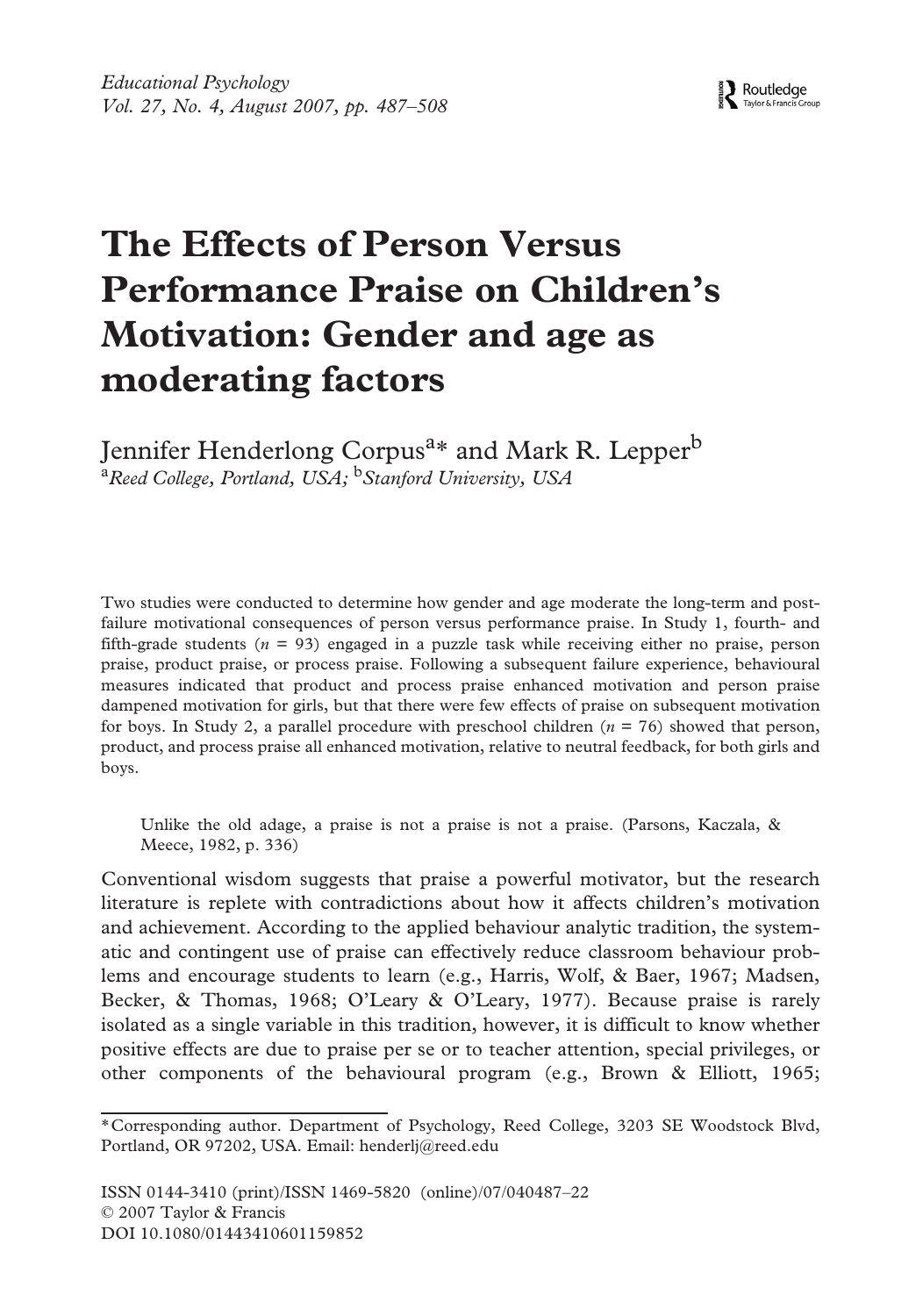# **The Effects of Person Versus Performance Praise on Children's Motivation: Gender and age as moderating factors**

Jennifer Henderlong Corpus<sup>a</sup>\* and Mark R. Lepper<sup>b</sup> a *Reed College, Portland, USA;* b*Stanford University, USA*

Two studies were conducted to determine how gender and age moderate the long-term and postfailure motivational consequences of person versus performance praise. In Study 1, fourth- and fifth-grade students ( $n = 93$ ) engaged in a puzzle task while receiving either no praise, person praise, product praise, or process praise. Following a subsequent failure experience, behavioural measures indicated that product and process praise enhanced motivation and person praise dampened motivation for girls, but that there were few effects of praise on subsequent motivation for boys. In Study 2, a parallel procedure with preschool children (*n* = 76) showed that person, product, and process praise all enhanced motivation, relative to neutral feedback, for both girls and boys.

Unlike the old adage, a praise is not a praise is not a praise. (Parsons, Kaczala, & Meece, 1982, p. 336)

Conventional wisdom suggests that praise a powerful motivator, but the research literature is replete with contradictions about how it affects children's motivation and achievement. According to the applied behaviour analytic tradition, the systematic and contingent use of praise can effectively reduce classroom behaviour problems and encourage students to learn (e.g., Harris, Wolf, & Baer, 1967; Madsen, Becker, & Thomas, 1968; O'Leary & O'Leary, 1977). Because praise is rarely isolated as a single variable in this tradition, however, it is difficult to know whether positive effects are due to praise per se or to teacher attention, special privileges, or other components of the behavioural program (e.g., Brown & Elliott, 1965;

<sup>\*</sup>Corresponding author. Department of Psychology, Reed College, 3203 SE Woodstock Blvd, Portland, OR 97202, USA. Email: henderlj@reed.edu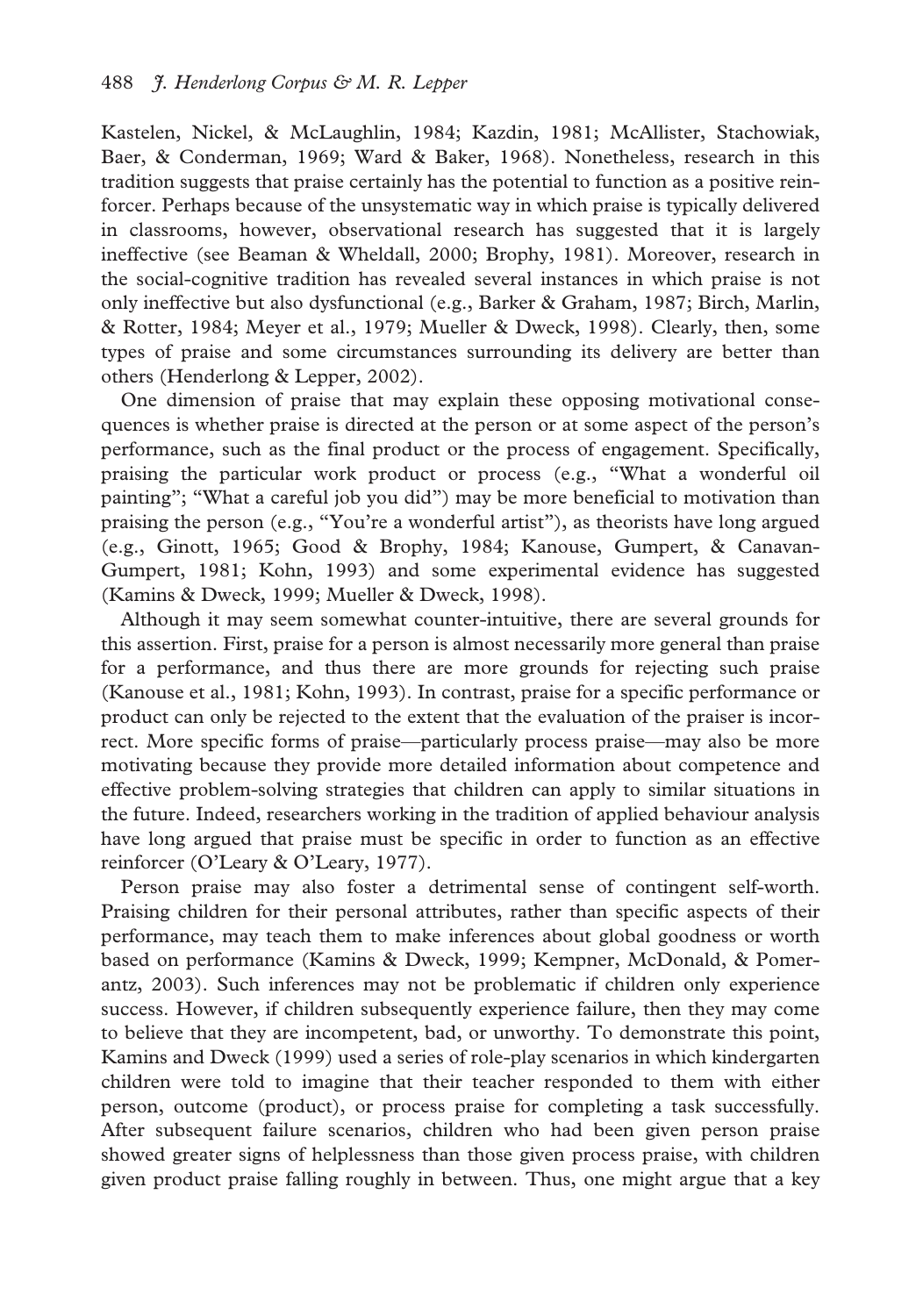Kastelen, Nickel, & McLaughlin, 1984; Kazdin, 1981; McAllister, Stachowiak, Baer, & Conderman, 1969; Ward & Baker, 1968). Nonetheless, research in this tradition suggests that praise certainly has the potential to function as a positive reinforcer. Perhaps because of the unsystematic way in which praise is typically delivered in classrooms, however, observational research has suggested that it is largely ineffective (see Beaman & Wheldall, 2000; Brophy, 1981). Moreover, research in the social-cognitive tradition has revealed several instances in which praise is not only ineffective but also dysfunctional (e.g., Barker & Graham, 1987; Birch, Marlin, & Rotter, 1984; Meyer et al., 1979; Mueller & Dweck, 1998). Clearly, then, some types of praise and some circumstances surrounding its delivery are better than others (Henderlong & Lepper, 2002).

One dimension of praise that may explain these opposing motivational consequences is whether praise is directed at the person or at some aspect of the person's performance, such as the final product or the process of engagement. Specifically, praising the particular work product or process (e.g., "What a wonderful oil painting"; "What a careful job you did") may be more beneficial to motivation than praising the person (e.g., "You're a wonderful artist"), as theorists have long argued (e.g., Ginott, 1965; Good & Brophy, 1984; Kanouse, Gumpert, & Canavan-Gumpert, 1981; Kohn, 1993) and some experimental evidence has suggested (Kamins & Dweck, 1999; Mueller & Dweck, 1998).

Although it may seem somewhat counter-intuitive, there are several grounds for this assertion. First, praise for a person is almost necessarily more general than praise for a performance, and thus there are more grounds for rejecting such praise (Kanouse et al., 1981; Kohn, 1993). In contrast, praise for a specific performance or product can only be rejected to the extent that the evaluation of the praiser is incorrect. More specific forms of praise—particularly process praise—may also be more motivating because they provide more detailed information about competence and effective problem-solving strategies that children can apply to similar situations in the future. Indeed, researchers working in the tradition of applied behaviour analysis have long argued that praise must be specific in order to function as an effective reinforcer (O'Leary & O'Leary, 1977).

Person praise may also foster a detrimental sense of contingent self-worth. Praising children for their personal attributes, rather than specific aspects of their performance, may teach them to make inferences about global goodness or worth based on performance (Kamins & Dweck, 1999; Kempner, McDonald, & Pomerantz, 2003). Such inferences may not be problematic if children only experience success. However, if children subsequently experience failure, then they may come to believe that they are incompetent, bad, or unworthy. To demonstrate this point, Kamins and Dweck (1999) used a series of role-play scenarios in which kindergarten children were told to imagine that their teacher responded to them with either person, outcome (product), or process praise for completing a task successfully. After subsequent failure scenarios, children who had been given person praise showed greater signs of helplessness than those given process praise, with children given product praise falling roughly in between. Thus, one might argue that a key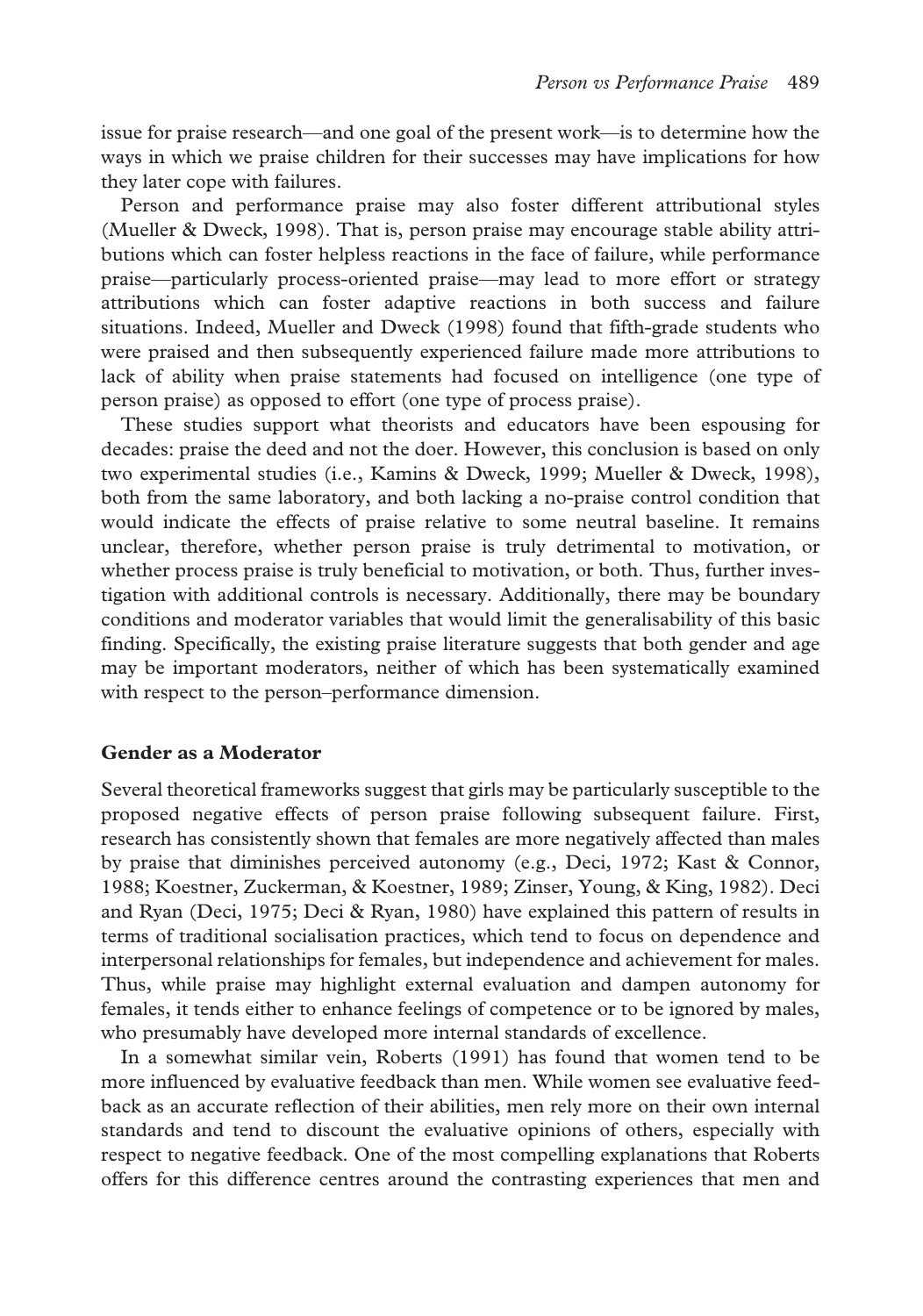issue for praise research—and one goal of the present work—is to determine how the ways in which we praise children for their successes may have implications for how they later cope with failures.

Person and performance praise may also foster different attributional styles (Mueller & Dweck, 1998). That is, person praise may encourage stable ability attributions which can foster helpless reactions in the face of failure, while performance praise—particularly process-oriented praise—may lead to more effort or strategy attributions which can foster adaptive reactions in both success and failure situations. Indeed, Mueller and Dweck (1998) found that fifth-grade students who were praised and then subsequently experienced failure made more attributions to lack of ability when praise statements had focused on intelligence (one type of person praise) as opposed to effort (one type of process praise).

These studies support what theorists and educators have been espousing for decades: praise the deed and not the doer. However, this conclusion is based on only two experimental studies (i.e., Kamins & Dweck, 1999; Mueller & Dweck, 1998), both from the same laboratory, and both lacking a no-praise control condition that would indicate the effects of praise relative to some neutral baseline. It remains unclear, therefore, whether person praise is truly detrimental to motivation, or whether process praise is truly beneficial to motivation, or both. Thus, further investigation with additional controls is necessary. Additionally, there may be boundary conditions and moderator variables that would limit the generalisability of this basic finding. Specifically, the existing praise literature suggests that both gender and age may be important moderators, neither of which has been systematically examined with respect to the person–performance dimension.

# **Gender as a Moderator**

Several theoretical frameworks suggest that girls may be particularly susceptible to the proposed negative effects of person praise following subsequent failure. First, research has consistently shown that females are more negatively affected than males by praise that diminishes perceived autonomy (e.g., Deci, 1972; Kast & Connor, 1988; Koestner, Zuckerman, & Koestner, 1989; Zinser, Young, & King, 1982). Deci and Ryan (Deci, 1975; Deci & Ryan, 1980) have explained this pattern of results in terms of traditional socialisation practices, which tend to focus on dependence and interpersonal relationships for females, but independence and achievement for males. Thus, while praise may highlight external evaluation and dampen autonomy for females, it tends either to enhance feelings of competence or to be ignored by males, who presumably have developed more internal standards of excellence.

In a somewhat similar vein, Roberts (1991) has found that women tend to be more influenced by evaluative feedback than men. While women see evaluative feedback as an accurate reflection of their abilities, men rely more on their own internal standards and tend to discount the evaluative opinions of others, especially with respect to negative feedback. One of the most compelling explanations that Roberts offers for this difference centres around the contrasting experiences that men and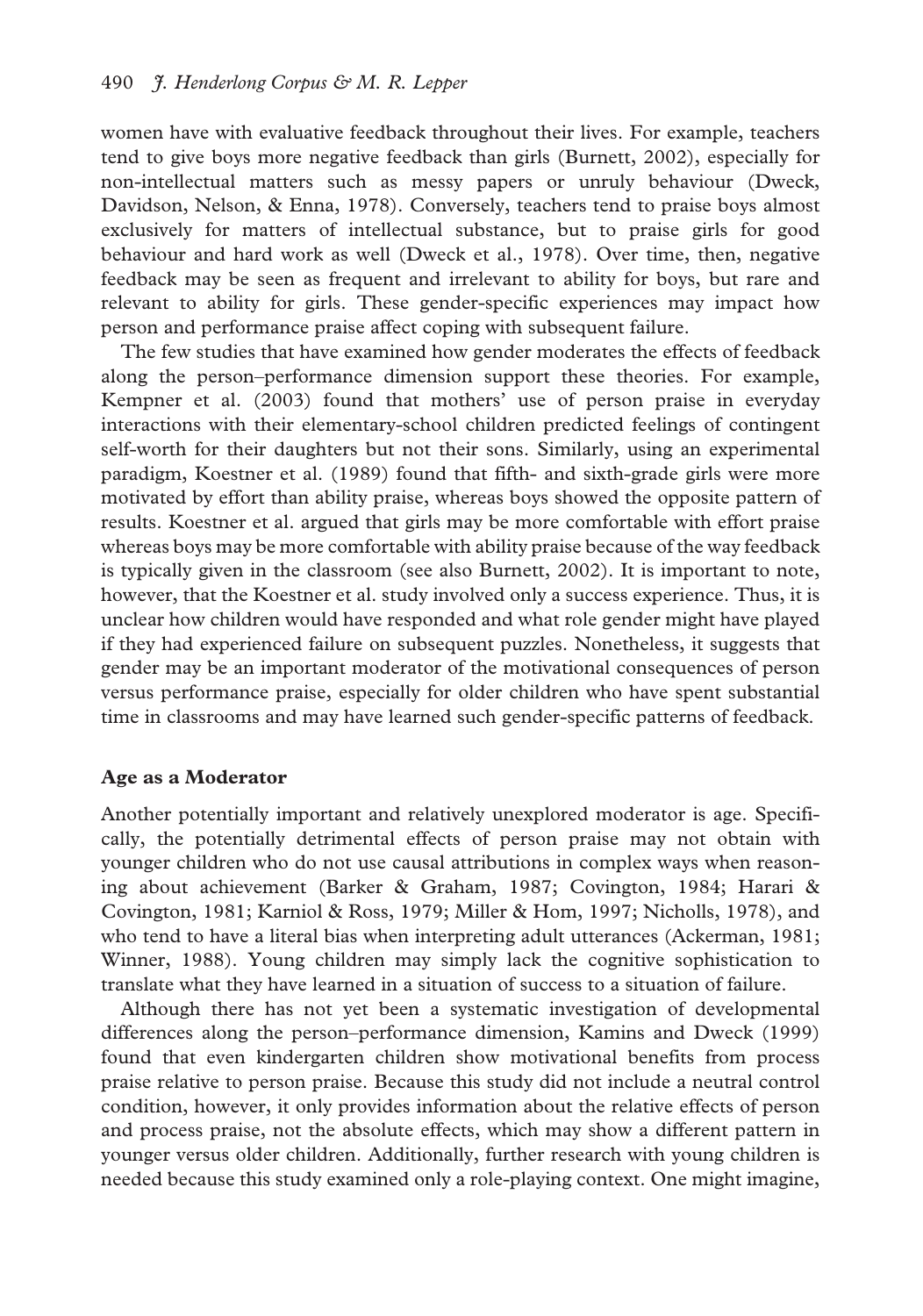women have with evaluative feedback throughout their lives. For example, teachers tend to give boys more negative feedback than girls (Burnett, 2002), especially for non-intellectual matters such as messy papers or unruly behaviour (Dweck, Davidson, Nelson, & Enna, 1978). Conversely, teachers tend to praise boys almost exclusively for matters of intellectual substance, but to praise girls for good behaviour and hard work as well (Dweck et al., 1978). Over time, then, negative feedback may be seen as frequent and irrelevant to ability for boys, but rare and relevant to ability for girls. These gender-specific experiences may impact how person and performance praise affect coping with subsequent failure.

The few studies that have examined how gender moderates the effects of feedback along the person–performance dimension support these theories. For example, Kempner et al. (2003) found that mothers' use of person praise in everyday interactions with their elementary-school children predicted feelings of contingent self-worth for their daughters but not their sons. Similarly, using an experimental paradigm, Koestner et al. (1989) found that fifth- and sixth-grade girls were more motivated by effort than ability praise, whereas boys showed the opposite pattern of results. Koestner et al. argued that girls may be more comfortable with effort praise whereas boys may be more comfortable with ability praise because of the way feedback is typically given in the classroom (see also Burnett, 2002). It is important to note, however, that the Koestner et al. study involved only a success experience. Thus, it is unclear how children would have responded and what role gender might have played if they had experienced failure on subsequent puzzles. Nonetheless, it suggests that gender may be an important moderator of the motivational consequences of person versus performance praise, especially for older children who have spent substantial time in classrooms and may have learned such gender-specific patterns of feedback.

# **Age as a Moderator**

Another potentially important and relatively unexplored moderator is age. Specifically, the potentially detrimental effects of person praise may not obtain with younger children who do not use causal attributions in complex ways when reasoning about achievement (Barker & Graham, 1987; Covington, 1984; Harari & Covington, 1981; Karniol & Ross, 1979; Miller & Hom, 1997; Nicholls, 1978), and who tend to have a literal bias when interpreting adult utterances (Ackerman, 1981; Winner, 1988). Young children may simply lack the cognitive sophistication to translate what they have learned in a situation of success to a situation of failure.

Although there has not yet been a systematic investigation of developmental differences along the person–performance dimension, Kamins and Dweck (1999) found that even kindergarten children show motivational benefits from process praise relative to person praise. Because this study did not include a neutral control condition, however, it only provides information about the relative effects of person and process praise, not the absolute effects, which may show a different pattern in younger versus older children. Additionally, further research with young children is needed because this study examined only a role-playing context. One might imagine,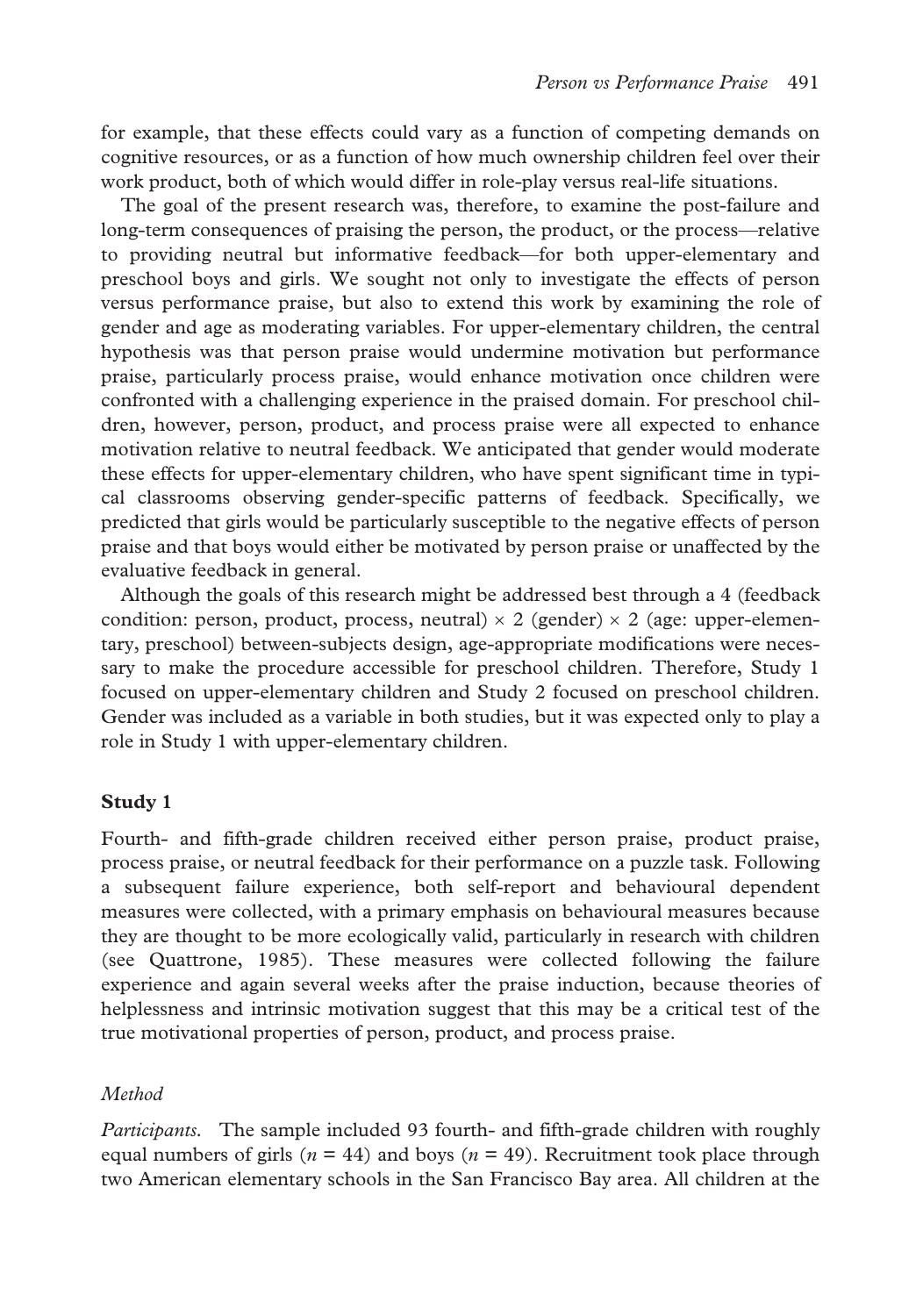for example, that these effects could vary as a function of competing demands on cognitive resources, or as a function of how much ownership children feel over their work product, both of which would differ in role-play versus real-life situations.

The goal of the present research was, therefore, to examine the post-failure and long-term consequences of praising the person, the product, or the process—relative to providing neutral but informative feedback—for both upper-elementary and preschool boys and girls. We sought not only to investigate the effects of person versus performance praise, but also to extend this work by examining the role of gender and age as moderating variables. For upper-elementary children, the central hypothesis was that person praise would undermine motivation but performance praise, particularly process praise, would enhance motivation once children were confronted with a challenging experience in the praised domain. For preschool children, however, person, product, and process praise were all expected to enhance motivation relative to neutral feedback. We anticipated that gender would moderate these effects for upper-elementary children, who have spent significant time in typical classrooms observing gender-specific patterns of feedback. Specifically, we predicted that girls would be particularly susceptible to the negative effects of person praise and that boys would either be motivated by person praise or unaffected by the evaluative feedback in general.

Although the goals of this research might be addressed best through a 4 (feedback condition: person, product, process, neutral)  $\times$  2 (gender)  $\times$  2 (age: upper-elementary, preschool) between-subjects design, age-appropriate modifications were necessary to make the procedure accessible for preschool children. Therefore, Study 1 focused on upper-elementary children and Study 2 focused on preschool children. Gender was included as a variable in both studies, but it was expected only to play a role in Study 1 with upper-elementary children.

### **Study 1**

Fourth- and fifth-grade children received either person praise, product praise, process praise, or neutral feedback for their performance on a puzzle task. Following a subsequent failure experience, both self-report and behavioural dependent measures were collected, with a primary emphasis on behavioural measures because they are thought to be more ecologically valid, particularly in research with children (see Quattrone, 1985). These measures were collected following the failure experience and again several weeks after the praise induction, because theories of helplessness and intrinsic motivation suggest that this may be a critical test of the true motivational properties of person, product, and process praise.

### *Method*

*Participants.* The sample included 93 fourth- and fifth-grade children with roughly equal numbers of girls ( $n = 44$ ) and boys ( $n = 49$ ). Recruitment took place through two American elementary schools in the San Francisco Bay area. All children at the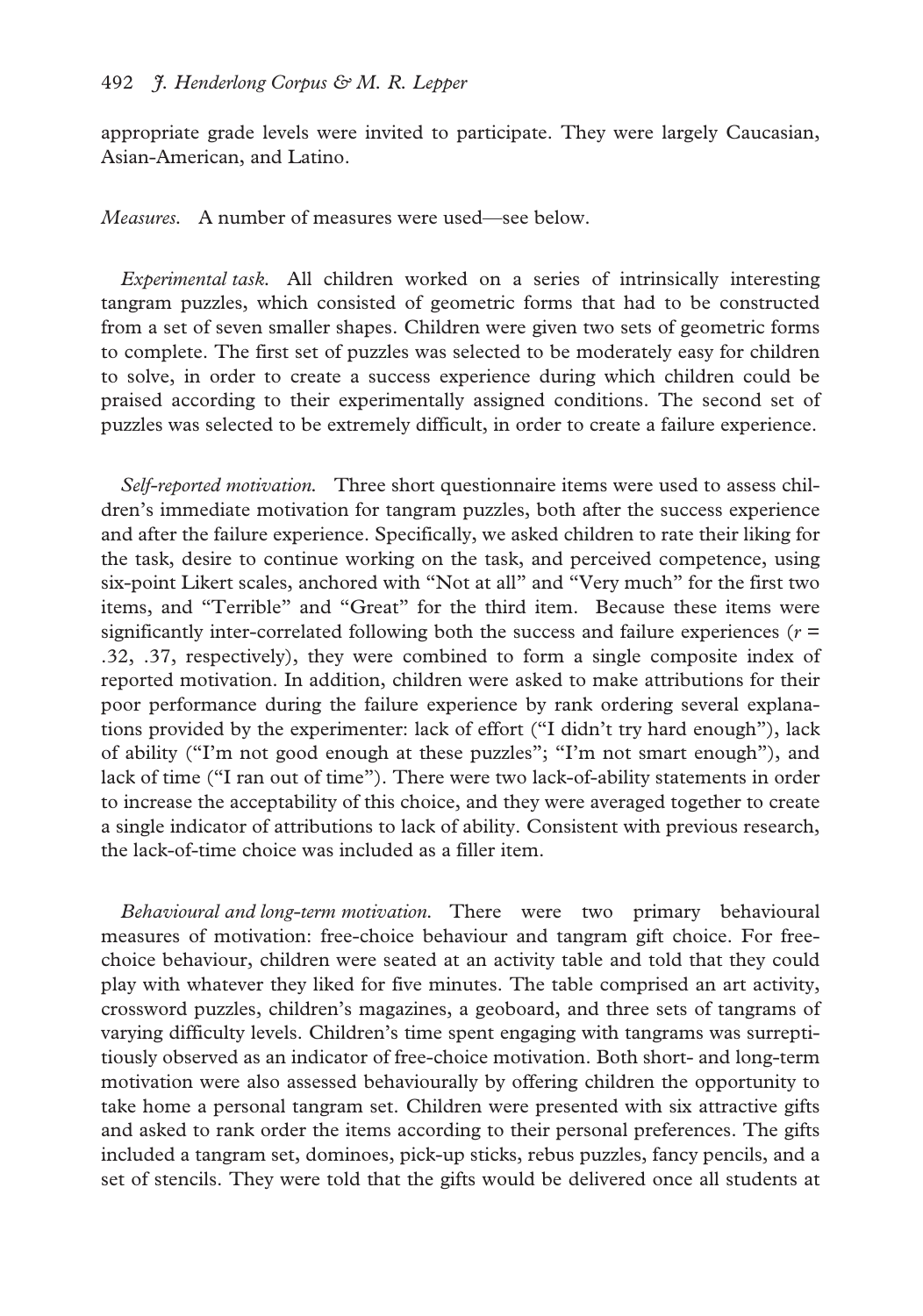appropriate grade levels were invited to participate. They were largely Caucasian, Asian-American, and Latino.

*Measures.* A number of measures were used—see below.

*Experimental task.* All children worked on a series of intrinsically interesting tangram puzzles, which consisted of geometric forms that had to be constructed from a set of seven smaller shapes. Children were given two sets of geometric forms to complete. The first set of puzzles was selected to be moderately easy for children to solve, in order to create a success experience during which children could be praised according to their experimentally assigned conditions. The second set of puzzles was selected to be extremely difficult, in order to create a failure experience.

*Self-reported motivation.* Three short questionnaire items were used to assess children's immediate motivation for tangram puzzles, both after the success experience and after the failure experience. Specifically, we asked children to rate their liking for the task, desire to continue working on the task, and perceived competence, using six-point Likert scales, anchored with "Not at all" and "Very much" for the first two items, and "Terrible" and "Great" for the third item. Because these items were significantly inter-correlated following both the success and failure experiences  $(r =$ .32, .37, respectively), they were combined to form a single composite index of reported motivation. In addition, children were asked to make attributions for their poor performance during the failure experience by rank ordering several explanations provided by the experimenter: lack of effort ("I didn't try hard enough"), lack of ability ("I'm not good enough at these puzzles"; "I'm not smart enough"), and lack of time ("I ran out of time"). There were two lack-of-ability statements in order to increase the acceptability of this choice, and they were averaged together to create a single indicator of attributions to lack of ability. Consistent with previous research, the lack-of-time choice was included as a filler item.

*Behavioural and long-term motivation.* There were two primary behavioural measures of motivation: free-choice behaviour and tangram gift choice. For freechoice behaviour, children were seated at an activity table and told that they could play with whatever they liked for five minutes. The table comprised an art activity, crossword puzzles, children's magazines, a geoboard, and three sets of tangrams of varying difficulty levels. Children's time spent engaging with tangrams was surreptitiously observed as an indicator of free-choice motivation. Both short- and long-term motivation were also assessed behaviourally by offering children the opportunity to take home a personal tangram set. Children were presented with six attractive gifts and asked to rank order the items according to their personal preferences. The gifts included a tangram set, dominoes, pick-up sticks, rebus puzzles, fancy pencils, and a set of stencils. They were told that the gifts would be delivered once all students at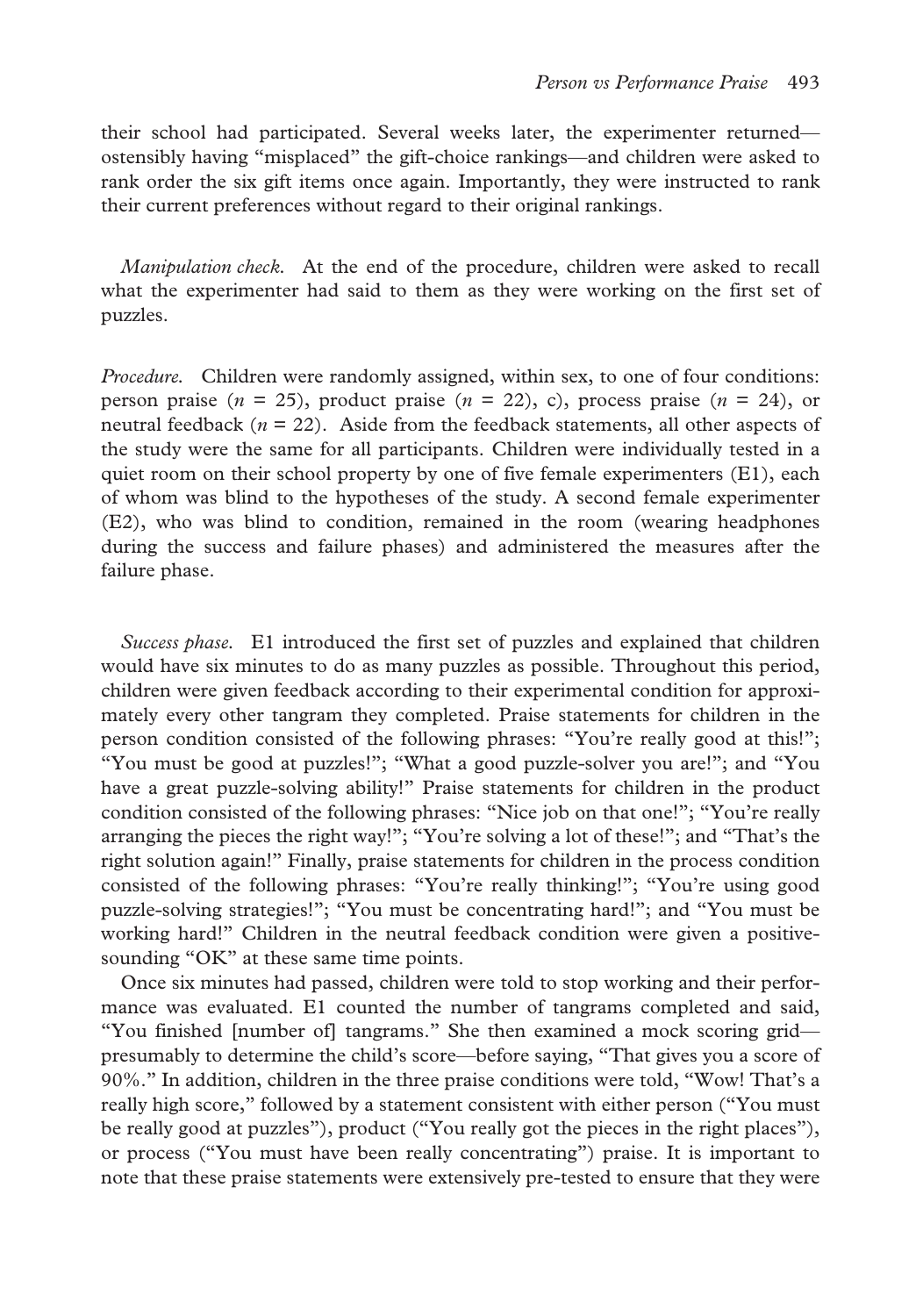their school had participated. Several weeks later, the experimenter returned ostensibly having "misplaced" the gift-choice rankings—and children were asked to rank order the six gift items once again. Importantly, they were instructed to rank their current preferences without regard to their original rankings.

*Manipulation check.* At the end of the procedure, children were asked to recall what the experimenter had said to them as they were working on the first set of puzzles.

*Procedure.* Children were randomly assigned, within sex, to one of four conditions: person praise  $(n = 25)$ , product praise  $(n = 22)$ , c), process praise  $(n = 24)$ , or neutral feedback  $(n = 22)$ . Aside from the feedback statements, all other aspects of the study were the same for all participants. Children were individually tested in a quiet room on their school property by one of five female experimenters  $(E1)$ , each of whom was blind to the hypotheses of the study. A second female experimenter (E2), who was blind to condition, remained in the room (wearing headphones during the success and failure phases) and administered the measures after the failure phase.

*Success phase.* E1 introduced the first set of puzzles and explained that children would have six minutes to do as many puzzles as possible. Throughout this period, children were given feedback according to their experimental condition for approximately every other tangram they completed. Praise statements for children in the person condition consisted of the following phrases: "You're really good at this!"; "You must be good at puzzles!"; "What a good puzzle-solver you are!"; and "You have a great puzzle-solving ability!" Praise statements for children in the product condition consisted of the following phrases: "Nice job on that one!"; "You're really arranging the pieces the right way!"; "You're solving a lot of these!"; and "That's the right solution again!" Finally, praise statements for children in the process condition consisted of the following phrases: "You're really thinking!"; "You're using good puzzle-solving strategies!"; "You must be concentrating hard!"; and "You must be working hard!" Children in the neutral feedback condition were given a positivesounding "OK" at these same time points.

Once six minutes had passed, children were told to stop working and their performance was evaluated. E1 counted the number of tangrams completed and said, "You finished [number of] tangrams." She then examined a mock scoring grid presumably to determine the child's score—before saying, "That gives you a score of 90%." In addition, children in the three praise conditions were told, "Wow! That's a really high score," followed by a statement consistent with either person ("You must be really good at puzzles"), product ("You really got the pieces in the right places"), or process ("You must have been really concentrating") praise. It is important to note that these praise statements were extensively pre-tested to ensure that they were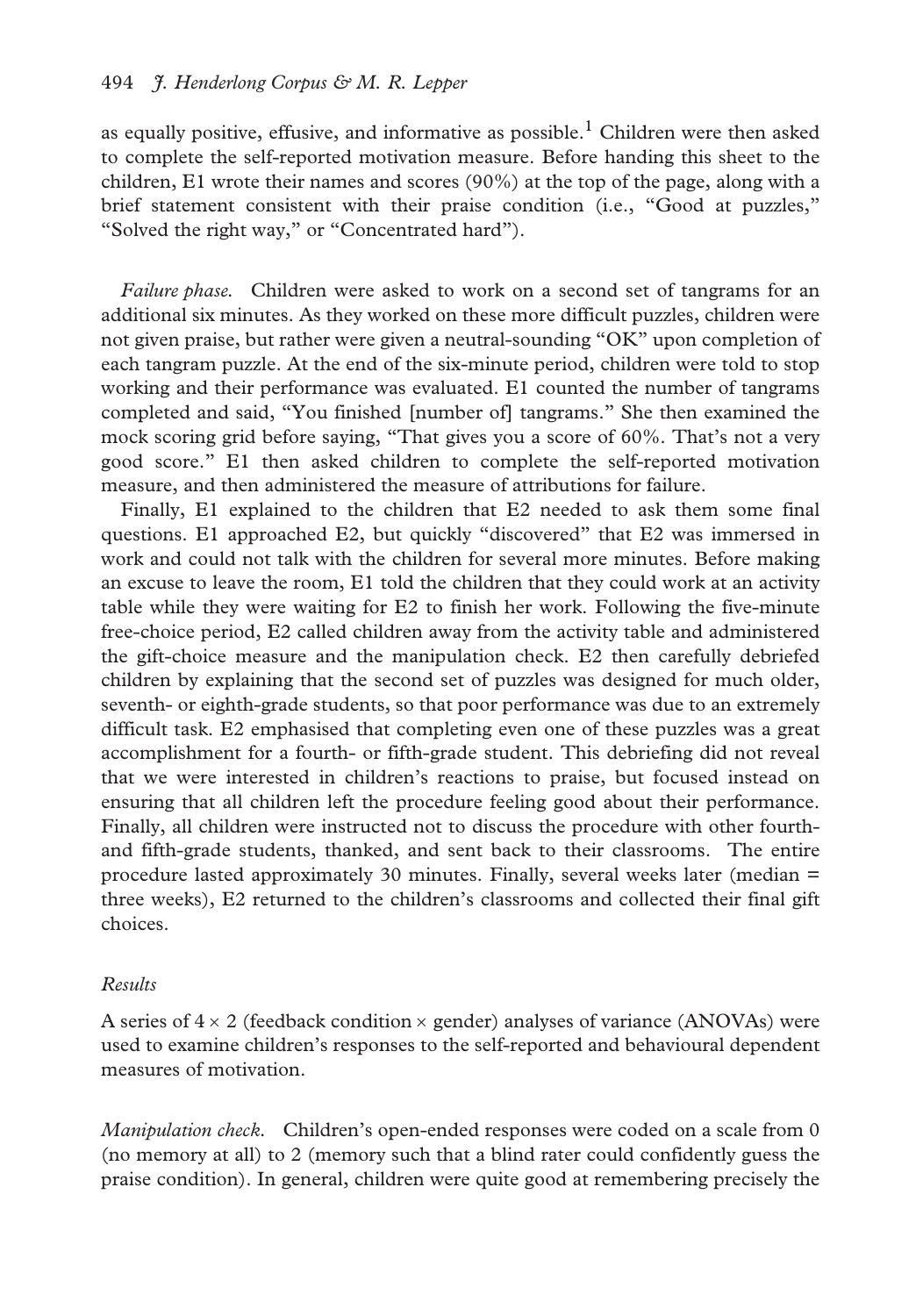as equally positive, effusive, and informative as possible.<sup>1</sup> Children were then asked to complete the self-reported motivation measure. Before handing this sheet to the children, E1 wrote their names and scores (90%) at the top of the page, along with a brief statement consistent with their praise condition (i.e., "Good at puzzles," "Solved the right way," or "Concentrated hard").

*Failure phase.* Children were asked to work on a second set of tangrams for an additional six minutes. As they worked on these more difficult puzzles, children were not given praise, but rather were given a neutral-sounding "OK" upon completion of each tangram puzzle. At the end of the six-minute period, children were told to stop working and their performance was evaluated. E1 counted the number of tangrams completed and said, "You finished [number of] tangrams." She then examined the mock scoring grid before saying, "That gives you a score of 60%. That's not a very good score." E1 then asked children to complete the self-reported motivation measure, and then administered the measure of attributions for failure.

Finally, E1 explained to the children that E2 needed to ask them some final questions. E1 approached E2, but quickly "discovered" that E2 was immersed in work and could not talk with the children for several more minutes. Before making an excuse to leave the room, E1 told the children that they could work at an activity table while they were waiting for E2 to finish her work. Following the five-minute free-choice period, E2 called children away from the activity table and administered the gift-choice measure and the manipulation check. E2 then carefully debriefed children by explaining that the second set of puzzles was designed for much older, seventh- or eighth-grade students, so that poor performance was due to an extremely difficult task. E2 emphasised that completing even one of these puzzles was a great accomplishment for a fourth- or fifth-grade student. This debriefing did not reveal that we were interested in children's reactions to praise, but focused instead on ensuring that all children left the procedure feeling good about their performance. Finally, all children were instructed not to discuss the procedure with other fourthand fifth-grade students, thanked, and sent back to their classrooms. The entire procedure lasted approximately 30 minutes. Finally, several weeks later (median = three weeks), E2 returned to the children's classrooms and collected their final gift choices.

### *Results*

A series of  $4 \times 2$  (feedback condition  $\times$  gender) analyses of variance (ANOVAs) were used to examine children's responses to the self-reported and behavioural dependent measures of motivation.

*Manipulation check.* Children's open-ended responses were coded on a scale from 0 (no memory at all) to 2 (memory such that a blind rater could confidently guess the praise condition). In general, children were quite good at remembering precisely the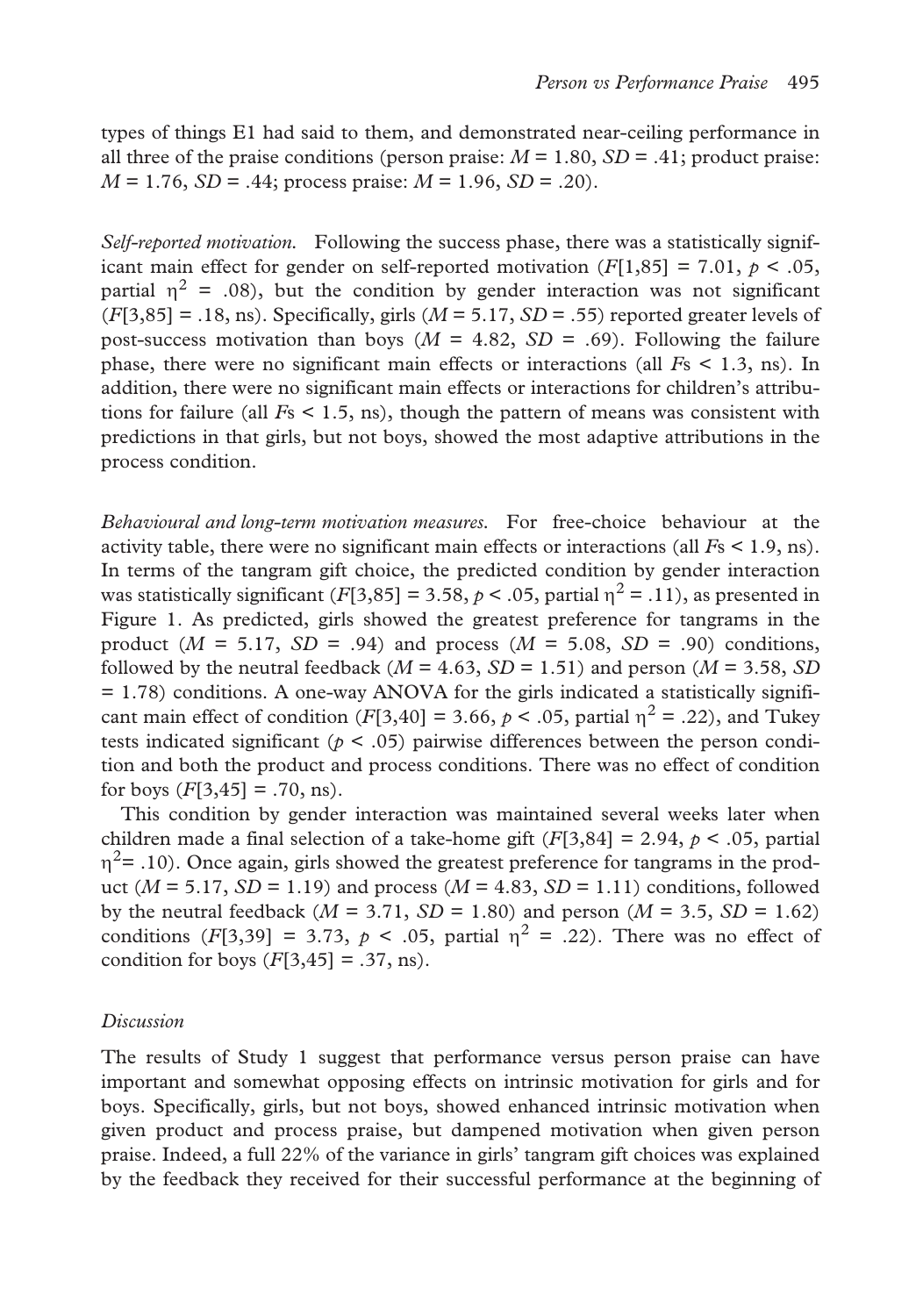types of things E1 had said to them, and demonstrated near-ceiling performance in all three of the praise conditions (person praise:  $M = 1.80$ ,  $SD = .41$ ; product praise:  $M = 1.76$ ,  $SD = .44$ ; process praise:  $M = 1.96$ ,  $SD = .20$ ).

*Self-reported motivation.* Following the success phase, there was a statistically significant main effect for gender on self-reported motivation  $(F[1,85] = 7.01, p < .05,$ partial  $\eta^2$  = .08), but the condition by gender interaction was not significant  $(F[3,85] = .18, \text{ns})$ . Specifically, girls  $(M = 5.17, SD = .55)$  reported greater levels of post-success motivation than boys ( $M = 4.82$ ,  $SD = .69$ ). Following the failure phase, there were no significant main effects or interactions (all *F*s < 1.3, ns). In addition, there were no significant main effects or interactions for children's attributions for failure (all *F*s < 1.5, ns), though the pattern of means was consistent with predictions in that girls, but not boys, showed the most adaptive attributions in the process condition.

*Behavioural and long-term motivation measures.* For free-choice behaviour at the activity table, there were no significant main effects or interactions (all  $F_s < 1.9$ , ns). In terms of the tangram gift choice, the predicted condition by gender interaction was statistically significant ( $F[3,85] = 3.58$ ,  $p < .05$ , partial  $n^2 = .11$ ), as presented in Figure 1. As predicted, girls showed the greatest preference for tangrams in the product ( $M = 5.17$ ,  $SD = .94$ ) and process ( $M = 5.08$ ,  $SD = .90$ ) conditions, followed by the neutral feedback ( $M = 4.63$ ,  $SD = 1.51$ ) and person ( $M = 3.58$ ,  $SD$  $= 1.78$ ) conditions. A one-way ANOVA for the girls indicated a statistically significant main effect of condition  $(F[3,40] = 3.66, p < .05$ , partial  $\eta^2 = .22$ ), and Tukey tests indicated significant ( $p < .05$ ) pairwise differences between the person condition and both the product and process conditions. There was no effect of condition for boys  $(F[3, 45] = .70$ , ns).

This condition by gender interaction was maintained several weeks later when children made a final selection of a take-home gift  $(F[3,84] = 2.94, p < .05$ , partial  $\eta^2$ = .10). Once again, girls showed the greatest preference for tangrams in the product  $(M = 5.17, SD = 1.19)$  and process  $(M = 4.83, SD = 1.11)$  conditions, followed by the neutral feedback ( $M = 3.71$ ,  $SD = 1.80$ ) and person ( $M = 3.5$ ,  $SD = 1.62$ ) conditions  $(F[3,39] = 3.73, p \le .05$ , partial  $p^2 = .22$ ). There was no effect of condition for boys  $(F[3,45] = .37, \text{ns})$ .

#### *Discussion*

The results of Study 1 suggest that performance versus person praise can have important and somewhat opposing effects on intrinsic motivation for girls and for boys. Specifically, girls, but not boys, showed enhanced intrinsic motivation when given product and process praise, but dampened motivation when given person praise. Indeed, a full 22% of the variance in girls' tangram gift choices was explained by the feedback they received for their successful performance at the beginning of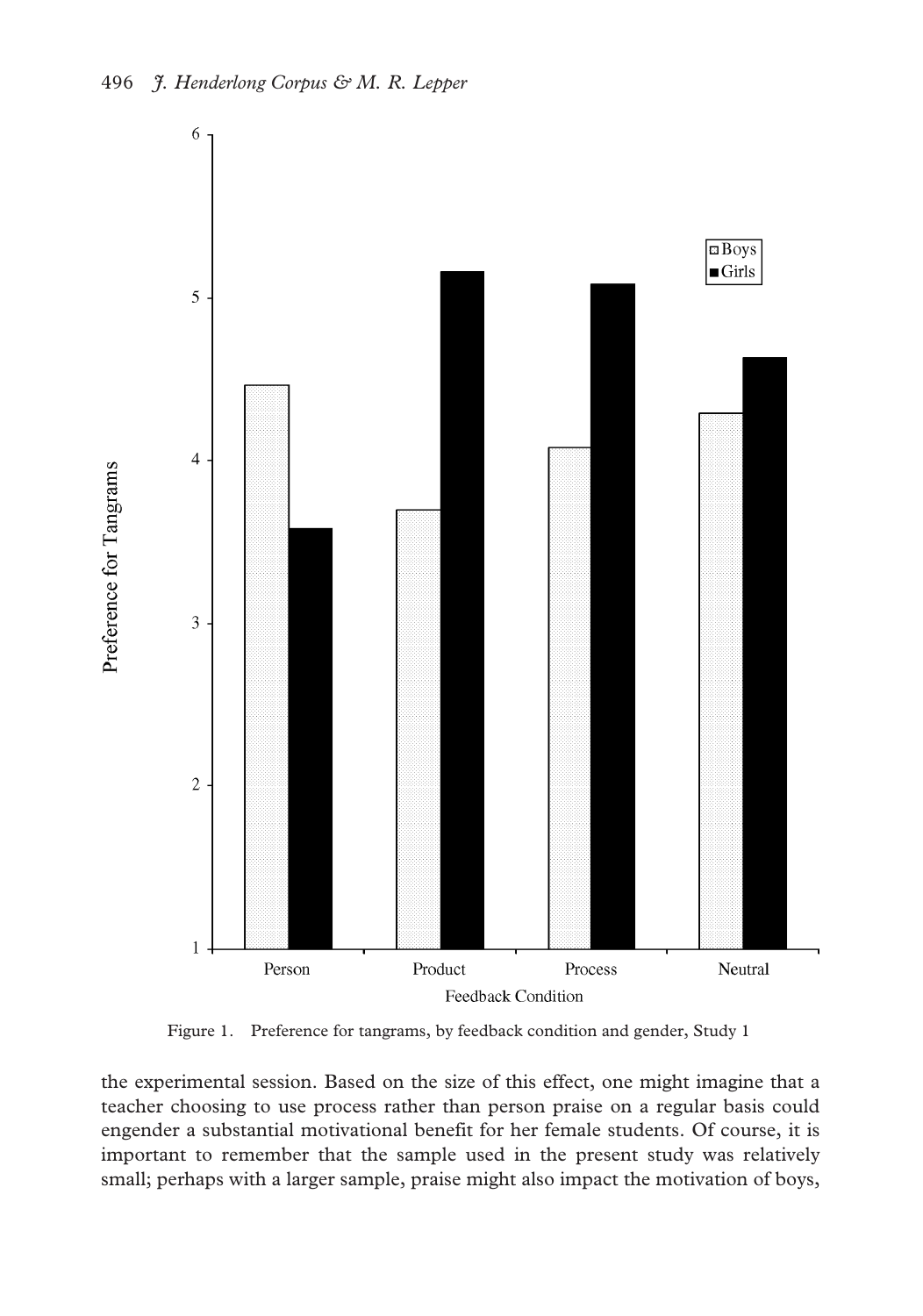

Figure 1. Preference for tangrams, by feedback condition and gender, Study 1

the experimental session. Based on the size of this effect, one might imagine that a teacher choosing to use process rather than person praise on a regular basis could engender a substantial motivational benefit for her female students. Of course, it is important to remember that the sample used in the present study was relatively small; perhaps with a larger sample, praise might also impact the motivation of boys,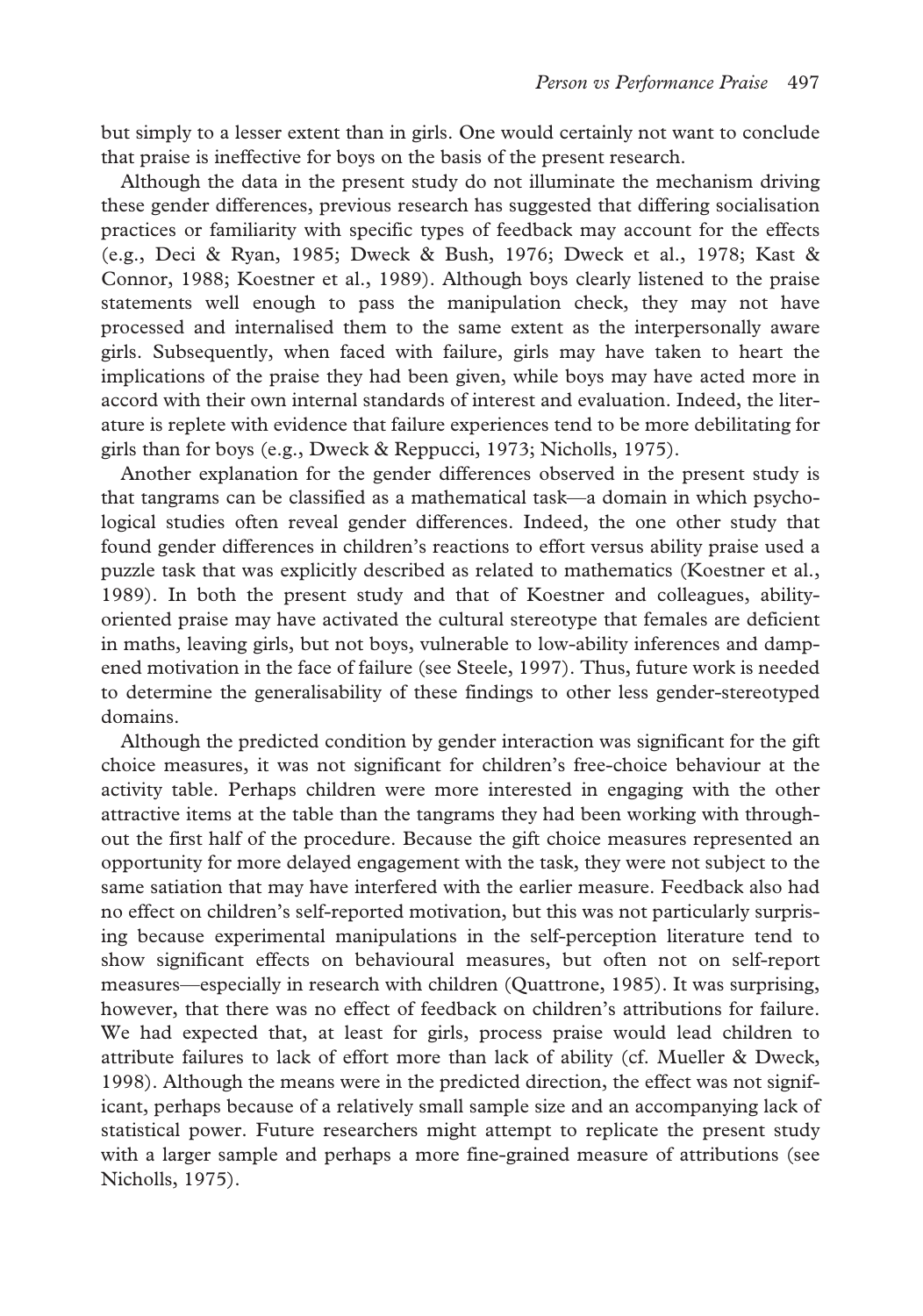but simply to a lesser extent than in girls. One would certainly not want to conclude that praise is ineffective for boys on the basis of the present research.

Although the data in the present study do not illuminate the mechanism driving these gender differences, previous research has suggested that differing socialisation practices or familiarity with specific types of feedback may account for the effects (e.g., Deci & Ryan, 1985; Dweck & Bush, 1976; Dweck et al., 1978; Kast & Connor, 1988; Koestner et al., 1989). Although boys clearly listened to the praise statements well enough to pass the manipulation check, they may not have processed and internalised them to the same extent as the interpersonally aware girls. Subsequently, when faced with failure, girls may have taken to heart the implications of the praise they had been given, while boys may have acted more in accord with their own internal standards of interest and evaluation. Indeed, the literature is replete with evidence that failure experiences tend to be more debilitating for girls than for boys (e.g., Dweck & Reppucci, 1973; Nicholls, 1975).

Another explanation for the gender differences observed in the present study is that tangrams can be classified as a mathematical task—a domain in which psychological studies often reveal gender differences. Indeed, the one other study that found gender differences in children's reactions to effort versus ability praise used a puzzle task that was explicitly described as related to mathematics (Koestner et al., 1989). In both the present study and that of Koestner and colleagues, abilityoriented praise may have activated the cultural stereotype that females are deficient in maths, leaving girls, but not boys, vulnerable to low-ability inferences and dampened motivation in the face of failure (see Steele, 1997). Thus, future work is needed to determine the generalisability of these findings to other less gender-stereotyped domains.

Although the predicted condition by gender interaction was significant for the gift choice measures, it was not significant for children's free-choice behaviour at the activity table. Perhaps children were more interested in engaging with the other attractive items at the table than the tangrams they had been working with throughout the first half of the procedure. Because the gift choice measures represented an opportunity for more delayed engagement with the task, they were not subject to the same satiation that may have interfered with the earlier measure. Feedback also had no effect on children's self-reported motivation, but this was not particularly surprising because experimental manipulations in the self-perception literature tend to show significant effects on behavioural measures, but often not on self-report measures—especially in research with children (Quattrone, 1985). It was surprising, however, that there was no effect of feedback on children's attributions for failure. We had expected that, at least for girls, process praise would lead children to attribute failures to lack of effort more than lack of ability (cf. Mueller & Dweck, 1998). Although the means were in the predicted direction, the effect was not significant, perhaps because of a relatively small sample size and an accompanying lack of statistical power. Future researchers might attempt to replicate the present study with a larger sample and perhaps a more fine-grained measure of attributions (see Nicholls, 1975).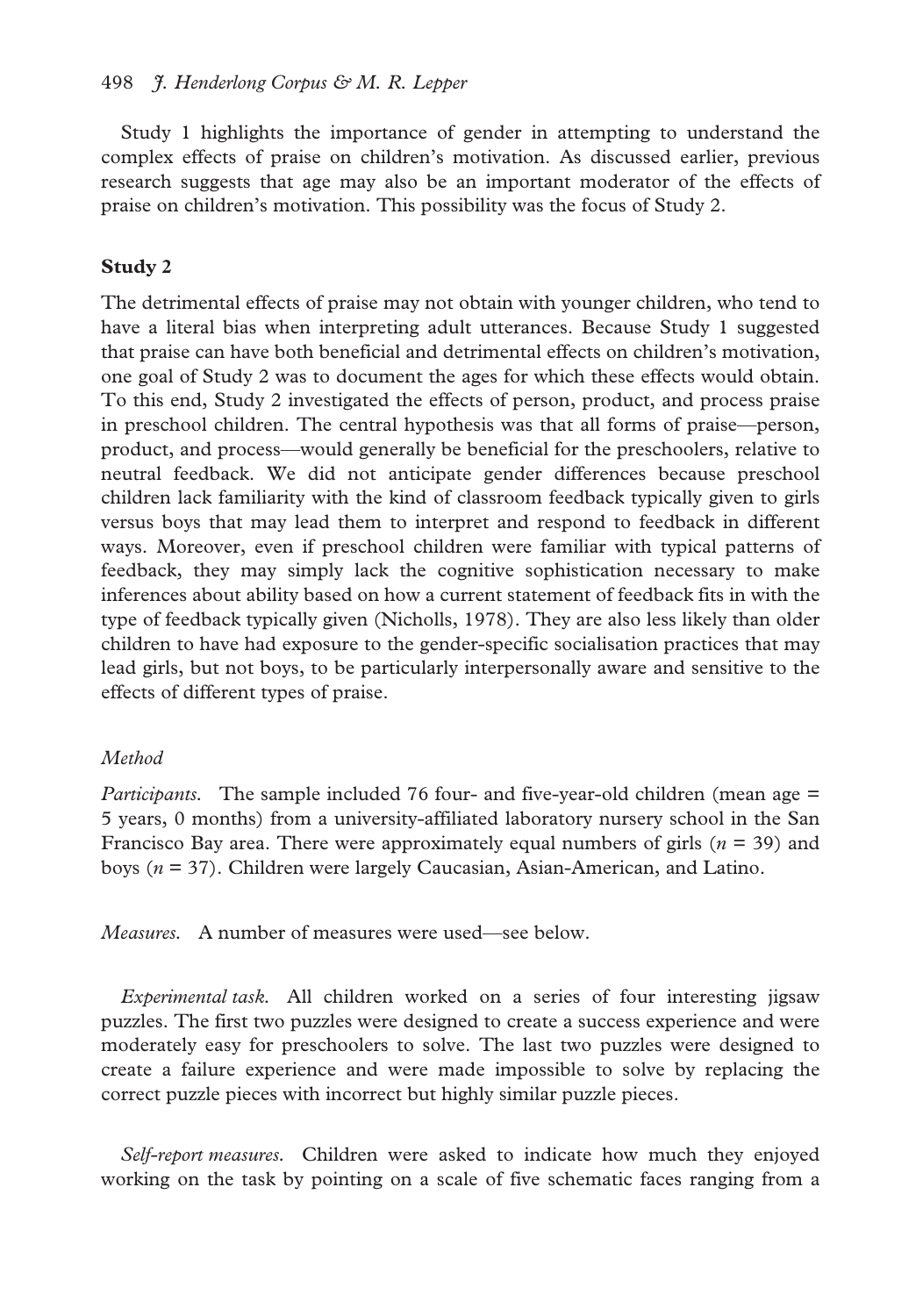Study 1 highlights the importance of gender in attempting to understand the complex effects of praise on children's motivation. As discussed earlier, previous research suggests that age may also be an important moderator of the effects of praise on children's motivation. This possibility was the focus of Study 2.

# **Study 2**

The detrimental effects of praise may not obtain with younger children, who tend to have a literal bias when interpreting adult utterances. Because Study 1 suggested that praise can have both beneficial and detrimental effects on children's motivation, one goal of Study 2 was to document the ages for which these effects would obtain. To this end, Study 2 investigated the effects of person, product, and process praise in preschool children. The central hypothesis was that all forms of praise—person, product, and process—would generally be beneficial for the preschoolers, relative to neutral feedback. We did not anticipate gender differences because preschool children lack familiarity with the kind of classroom feedback typically given to girls versus boys that may lead them to interpret and respond to feedback in different ways. Moreover, even if preschool children were familiar with typical patterns of feedback, they may simply lack the cognitive sophistication necessary to make inferences about ability based on how a current statement of feedback fits in with the type of feedback typically given (Nicholls, 1978). They are also less likely than older children to have had exposure to the gender-specific socialisation practices that may lead girls, but not boys, to be particularly interpersonally aware and sensitive to the effects of different types of praise.

# *Method*

*Participants.* The sample included 76 four- and five-year-old children (mean age = 5 years, 0 months) from a university-affiliated laboratory nursery school in the San Francisco Bay area. There were approximately equal numbers of girls (*n* = 39) and boys (*n* = 37). Children were largely Caucasian, Asian-American, and Latino.

*Measures.* A number of measures were used—see below.

*Experimental task.* All children worked on a series of four interesting jigsaw puzzles. The first two puzzles were designed to create a success experience and were moderately easy for preschoolers to solve. The last two puzzles were designed to create a failure experience and were made impossible to solve by replacing the correct puzzle pieces with incorrect but highly similar puzzle pieces.

*Self-report measures.* Children were asked to indicate how much they enjoyed working on the task by pointing on a scale of five schematic faces ranging from a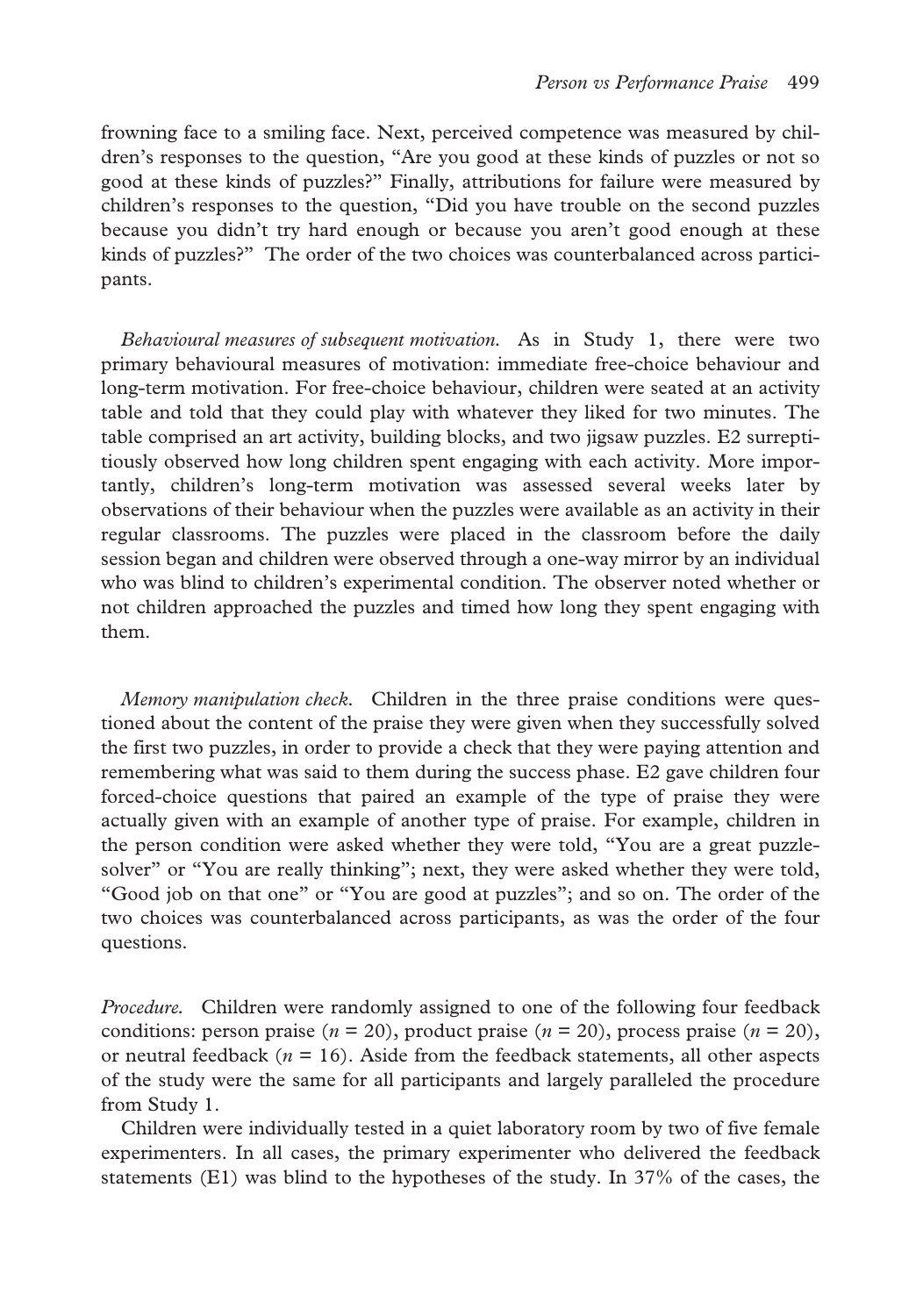frowning face to a smiling face. Next, perceived competence was measured by children's responses to the question, "Are you good at these kinds of puzzles or not so good at these kinds of puzzles?" Finally, attributions for failure were measured by children's responses to the question, "Did you have trouble on the second puzzles because you didn't try hard enough or because you aren't good enough at these kinds of puzzles?" The order of the two choices was counterbalanced across participants.

*Behavioural measures of subsequent motivation.* As in Study 1, there were two primary behavioural measures of motivation: immediate free-choice behaviour and long-term motivation. For free-choice behaviour, children were seated at an activity table and told that they could play with whatever they liked for two minutes. The table comprised an art activity, building blocks, and two jigsaw puzzles. E2 surreptitiously observed how long children spent engaging with each activity. More importantly, children's long-term motivation was assessed several weeks later by observations of their behaviour when the puzzles were available as an activity in their regular classrooms. The puzzles were placed in the classroom before the daily session began and children were observed through a one-way mirror by an individual who was blind to children's experimental condition. The observer noted whether or not children approached the puzzles and timed how long they spent engaging with them.

*Memory manipulation check.* Children in the three praise conditions were questioned about the content of the praise they were given when they successfully solved the first two puzzles, in order to provide a check that they were paying attention and remembering what was said to them during the success phase. E2 gave children four forced-choice questions that paired an example of the type of praise they were actually given with an example of another type of praise. For example, children in the person condition were asked whether they were told, "You are a great puzzlesolver" or "You are really thinking"; next, they were asked whether they were told, "Good job on that one" or "You are good at puzzles"; and so on. The order of the two choices was counterbalanced across participants, as was the order of the four questions.

*Procedure.* Children were randomly assigned to one of the following four feedback conditions: person praise  $(n = 20)$ , product praise  $(n = 20)$ , process praise  $(n = 20)$ , or neutral feedback  $(n = 16)$ . Aside from the feedback statements, all other aspects of the study were the same for all participants and largely paralleled the procedure from Study 1.

Children were individually tested in a quiet laboratory room by two of five female experimenters. In all cases, the primary experimenter who delivered the feedback statements (E1) was blind to the hypotheses of the study. In 37% of the cases, the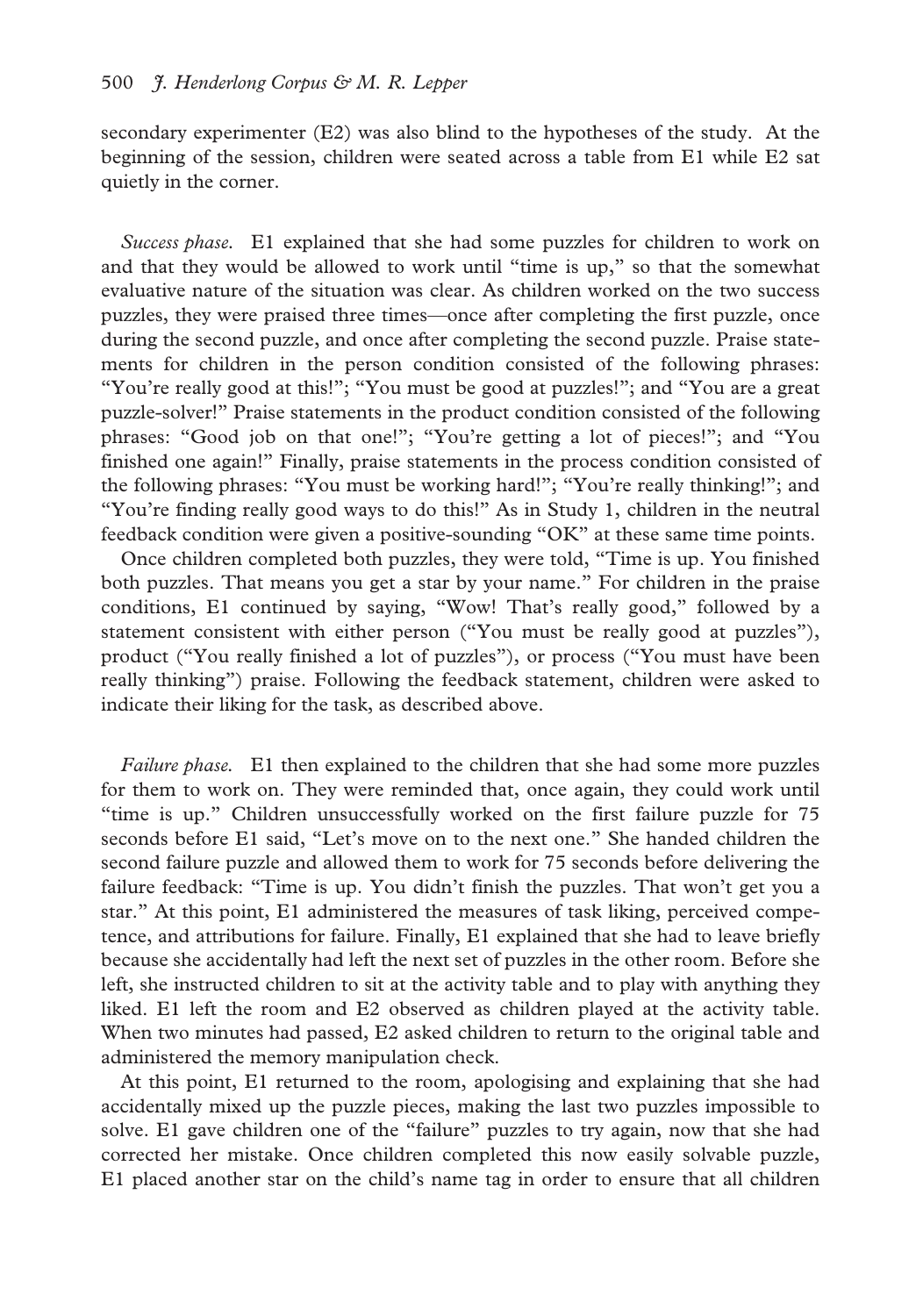secondary experimenter (E2) was also blind to the hypotheses of the study. At the beginning of the session, children were seated across a table from E1 while E2 sat quietly in the corner.

*Success phase.* E1 explained that she had some puzzles for children to work on and that they would be allowed to work until "time is up," so that the somewhat evaluative nature of the situation was clear. As children worked on the two success puzzles, they were praised three times—once after completing the first puzzle, once during the second puzzle, and once after completing the second puzzle. Praise statements for children in the person condition consisted of the following phrases: "You're really good at this!"; "You must be good at puzzles!"; and "You are a great puzzle-solver!" Praise statements in the product condition consisted of the following phrases: "Good job on that one!"; "You're getting a lot of pieces!"; and "You finished one again!" Finally, praise statements in the process condition consisted of the following phrases: "You must be working hard!"; "You're really thinking!"; and "You're finding really good ways to do this!" As in Study 1, children in the neutral feedback condition were given a positive-sounding "OK" at these same time points.

Once children completed both puzzles, they were told, "Time is up. You finished both puzzles. That means you get a star by your name." For children in the praise conditions, E1 continued by saying, "Wow! That's really good," followed by a statement consistent with either person ("You must be really good at puzzles"), product ("You really finished a lot of puzzles"), or process ("You must have been really thinking") praise. Following the feedback statement, children were asked to indicate their liking for the task, as described above.

*Failure phase.* E1 then explained to the children that she had some more puzzles for them to work on. They were reminded that, once again, they could work until "time is up." Children unsuccessfully worked on the first failure puzzle for 75 seconds before E1 said, "Let's move on to the next one." She handed children the second failure puzzle and allowed them to work for 75 seconds before delivering the failure feedback: "Time is up. You didn't finish the puzzles. That won't get you a star." At this point, E1 administered the measures of task liking, perceived competence, and attributions for failure. Finally, E1 explained that she had to leave briefly because she accidentally had left the next set of puzzles in the other room. Before she left, she instructed children to sit at the activity table and to play with anything they liked. E1 left the room and E2 observed as children played at the activity table. When two minutes had passed, E2 asked children to return to the original table and administered the memory manipulation check.

At this point, E1 returned to the room, apologising and explaining that she had accidentally mixed up the puzzle pieces, making the last two puzzles impossible to solve. E1 gave children one of the "failure" puzzles to try again, now that she had corrected her mistake. Once children completed this now easily solvable puzzle, E1 placed another star on the child's name tag in order to ensure that all children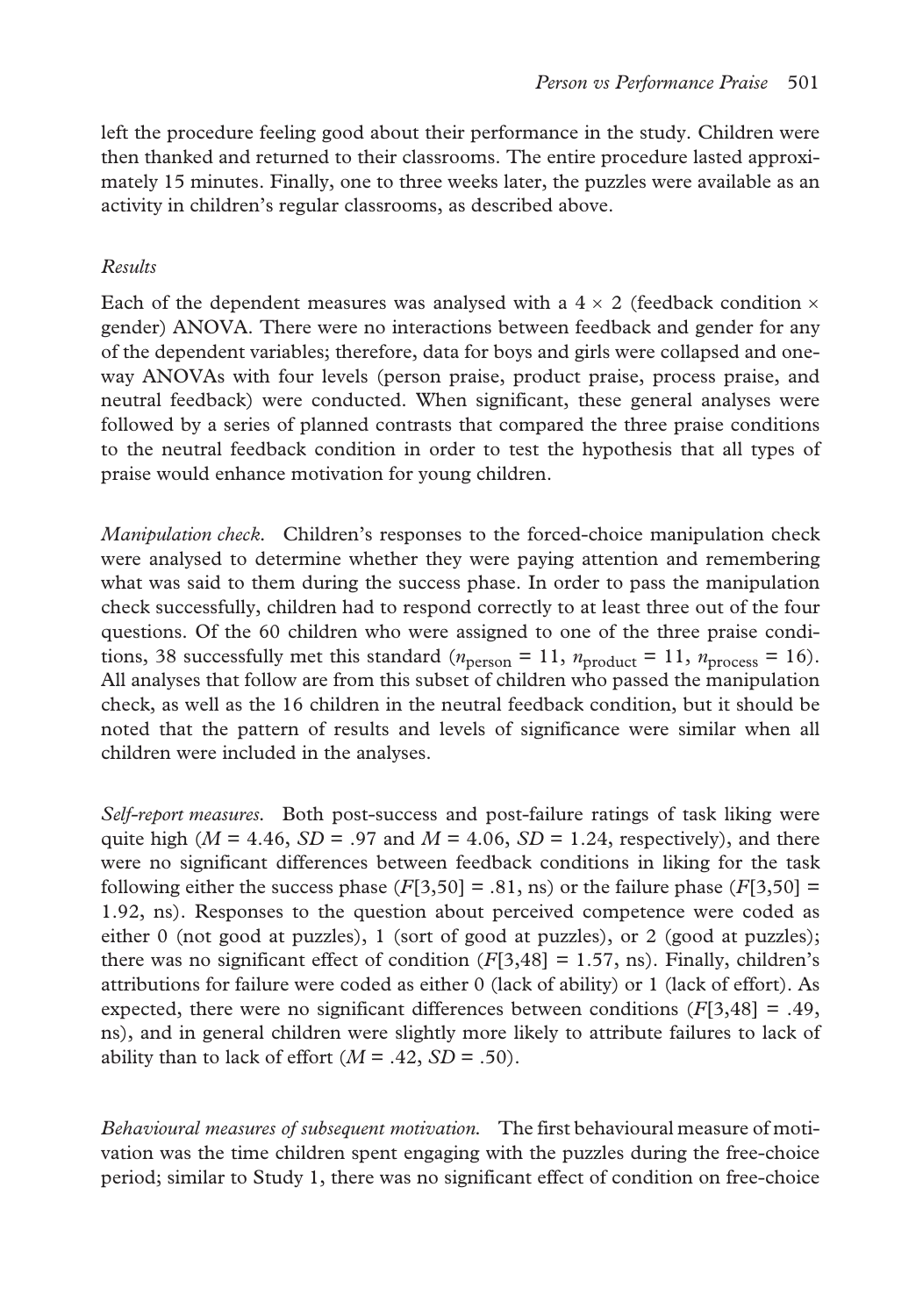left the procedure feeling good about their performance in the study. Children were then thanked and returned to their classrooms. The entire procedure lasted approximately 15 minutes. Finally, one to three weeks later, the puzzles were available as an activity in children's regular classrooms, as described above.

# *Results*

Each of the dependent measures was analysed with a  $4 \times 2$  (feedback condition  $\times$ gender) ANOVA. There were no interactions between feedback and gender for any of the dependent variables; therefore, data for boys and girls were collapsed and oneway ANOVAs with four levels (person praise, product praise, process praise, and neutral feedback) were conducted. When significant, these general analyses were followed by a series of planned contrasts that compared the three praise conditions to the neutral feedback condition in order to test the hypothesis that all types of praise would enhance motivation for young children.

*Manipulation check.* Children's responses to the forced-choice manipulation check were analysed to determine whether they were paying attention and remembering what was said to them during the success phase. In order to pass the manipulation check successfully, children had to respond correctly to at least three out of the four questions. Of the 60 children who were assigned to one of the three praise conditions, 38 successfully met this standard ( $n_{\text{person}} = 11$ ,  $n_{\text{product}} = 11$ ,  $n_{\text{process}} = 16$ ). All analyses that follow are from this subset of children who passed the manipulation check, as well as the 16 children in the neutral feedback condition, but it should be noted that the pattern of results and levels of significance were similar when all children were included in the analyses.

*Self-report measures.* Both post-success and post-failure ratings of task liking were quite high ( $M = 4.46$ ,  $SD = .97$  and  $M = 4.06$ ,  $SD = 1.24$ , respectively), and there were no significant differences between feedback conditions in liking for the task following either the success phase  $(F[3,50] = .81, \text{ns})$  or the failure phase  $(F[3,50] =$ 1.92, ns). Responses to the question about perceived competence were coded as either 0 (not good at puzzles), 1 (sort of good at puzzles), or 2 (good at puzzles); there was no significant effect of condition  $(F[3,48] = 1.57, \text{ns})$ . Finally, children's attributions for failure were coded as either 0 (lack of ability) or 1 (lack of effort). As expected, there were no significant differences between conditions  $(F[3,48] = .49$ , ns), and in general children were slightly more likely to attribute failures to lack of ability than to lack of effort  $(M = .42, SD = .50)$ .

*Behavioural measures of subsequent motivation.* The first behavioural measure of motivation was the time children spent engaging with the puzzles during the free-choice period; similar to Study 1, there was no significant effect of condition on free-choice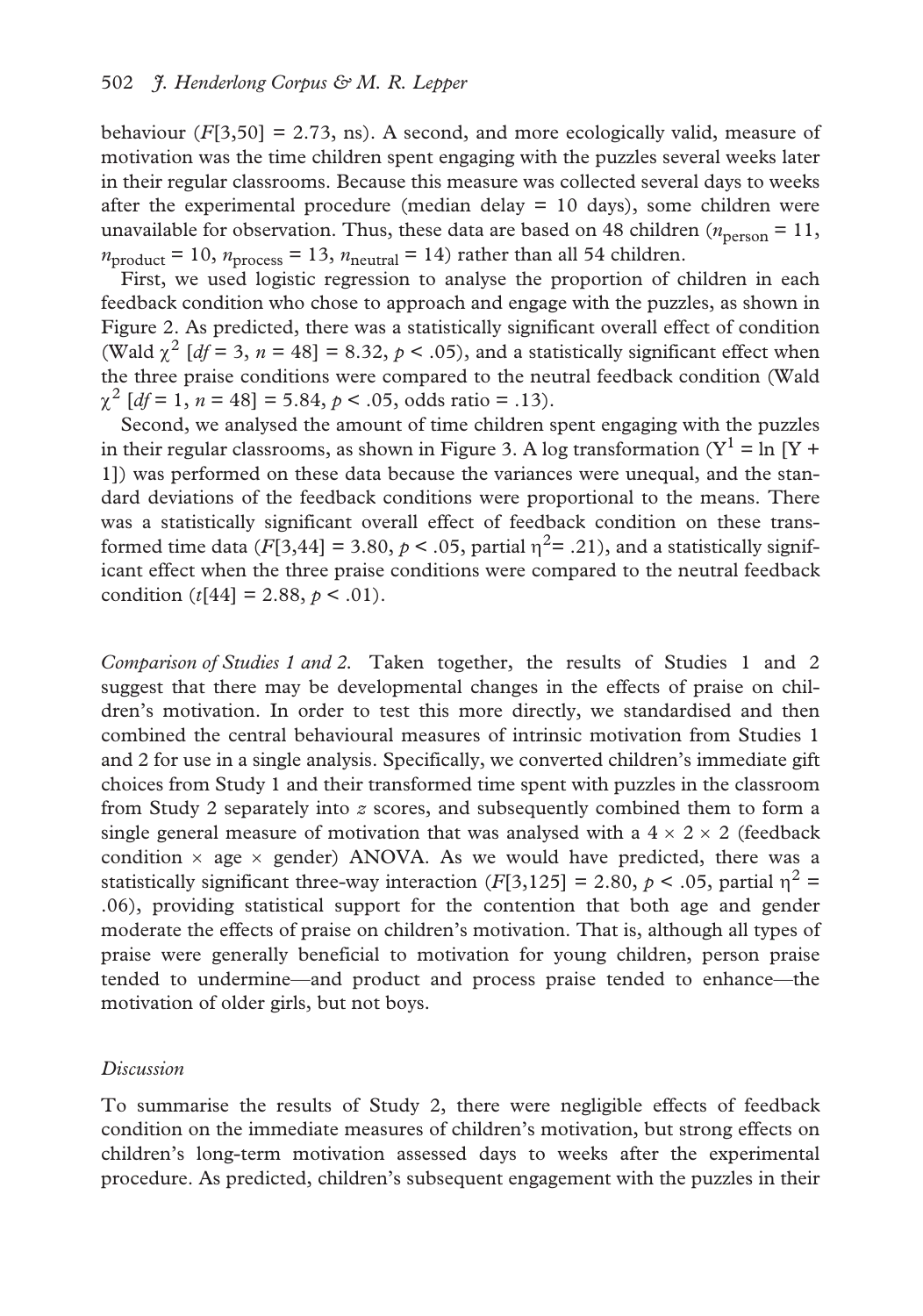behaviour  $(F[3,50] = 2.73$ , ns). A second, and more ecologically valid, measure of motivation was the time children spent engaging with the puzzles several weeks later in their regular classrooms. Because this measure was collected several days to weeks after the experimental procedure (median delay = 10 days), some children were unavailable for observation. Thus, these data are based on 48 children ( $n_{\text{person}} = 11$ ,  $n_{\text{product}} = 10$ ,  $n_{\text{process}} = 13$ ,  $n_{\text{neutral}} = 14$ ) rather than all 54 children.

First, we used logistic regression to analyse the proportion of children in each feedback condition who chose to approach and engage with the puzzles, as shown in Figure 2. As predicted, there was a statistically significant overall effect of condition (Wald  $\chi^2$  [ $df = 3$ ,  $n = 48$ ] = 8.32,  $p < .05$ ), and a statistically significant effect when the three praise conditions were compared to the neutral feedback condition (Wald  $\chi^2$  [*df* = 1, *n* = 48] = 5.84, *p* < .05, odds ratio = .13).

Second, we analysed the amount of time children spent engaging with the puzzles in their regular classrooms, as shown in Figure 3. A log transformation  $(Y^1 = \ln |Y + Y^2|)$ 1]) was performed on these data because the variances were unequal, and the standard deviations of the feedback conditions were proportional to the means. There was a statistically significant overall effect of feedback condition on these transformed time data ( $F[3,44] = 3.80$ ,  $p < .05$ , partial  $\eta^2 = .21$ ), and a statistically significant effect when the three praise conditions were compared to the neutral feedback condition  $(t[44] = 2.88, p < .01)$ .

*Comparison of Studies 1 and 2.* Taken together, the results of Studies 1 and 2 suggest that there may be developmental changes in the effects of praise on children's motivation. In order to test this more directly, we standardised and then combined the central behavioural measures of intrinsic motivation from Studies 1 and 2 for use in a single analysis. Specifically, we converted children's immediate gift choices from Study 1 and their transformed time spent with puzzles in the classroom from Study 2 separately into *z* scores, and subsequently combined them to form a single general measure of motivation that was analysed with a  $4 \times 2 \times 2$  (feedback condition  $\times$  age  $\times$  gender) ANOVA. As we would have predicted, there was a statistically significant three-way interaction  $(F[3,125] = 2.80, p < .05$ , partial  $\eta^2 =$ .06), providing statistical support for the contention that both age and gender moderate the effects of praise on children's motivation. That is, although all types of praise were generally beneficial to motivation for young children, person praise tended to undermine—and product and process praise tended to enhance—the motivation of older girls, but not boys.

# *Discussion*

To summarise the results of Study 2, there were negligible effects of feedback condition on the immediate measures of children's motivation, but strong effects on children's long-term motivation assessed days to weeks after the experimental procedure. As predicted, children's subsequent engagement with the puzzles in their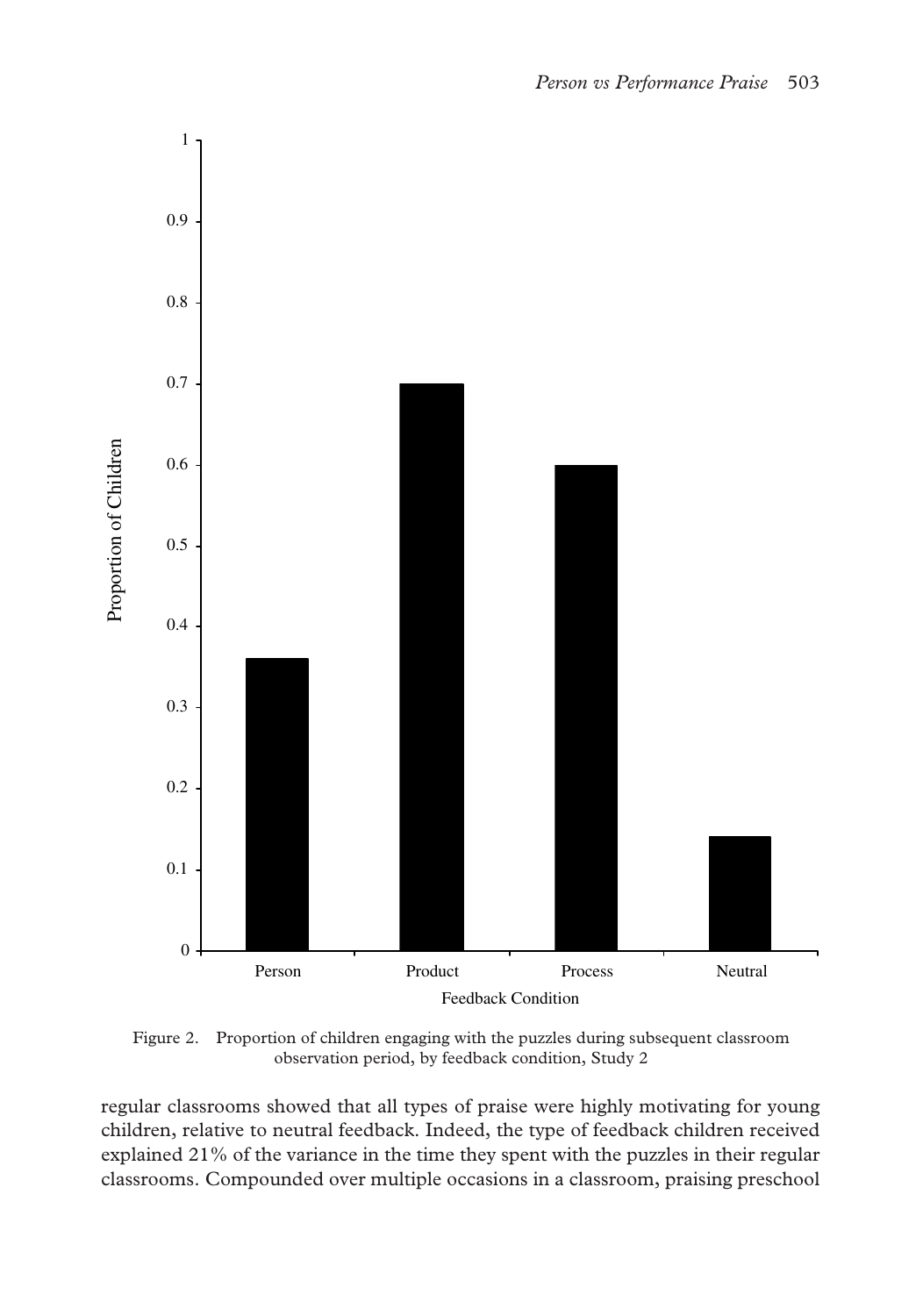

Figure 2. Proportion of children engaging with the puzzles during subsequent classroom observation period, by feedback condition, Study 2

regular classrooms showed that all types of praise were highly motivating for young children, relative to neutral feedback. Indeed, the type of feedback children received explained 21% of the variance in the time they spent with the puzzles in their regular classrooms. Compounded over multiple occasions in a classroom, praising preschool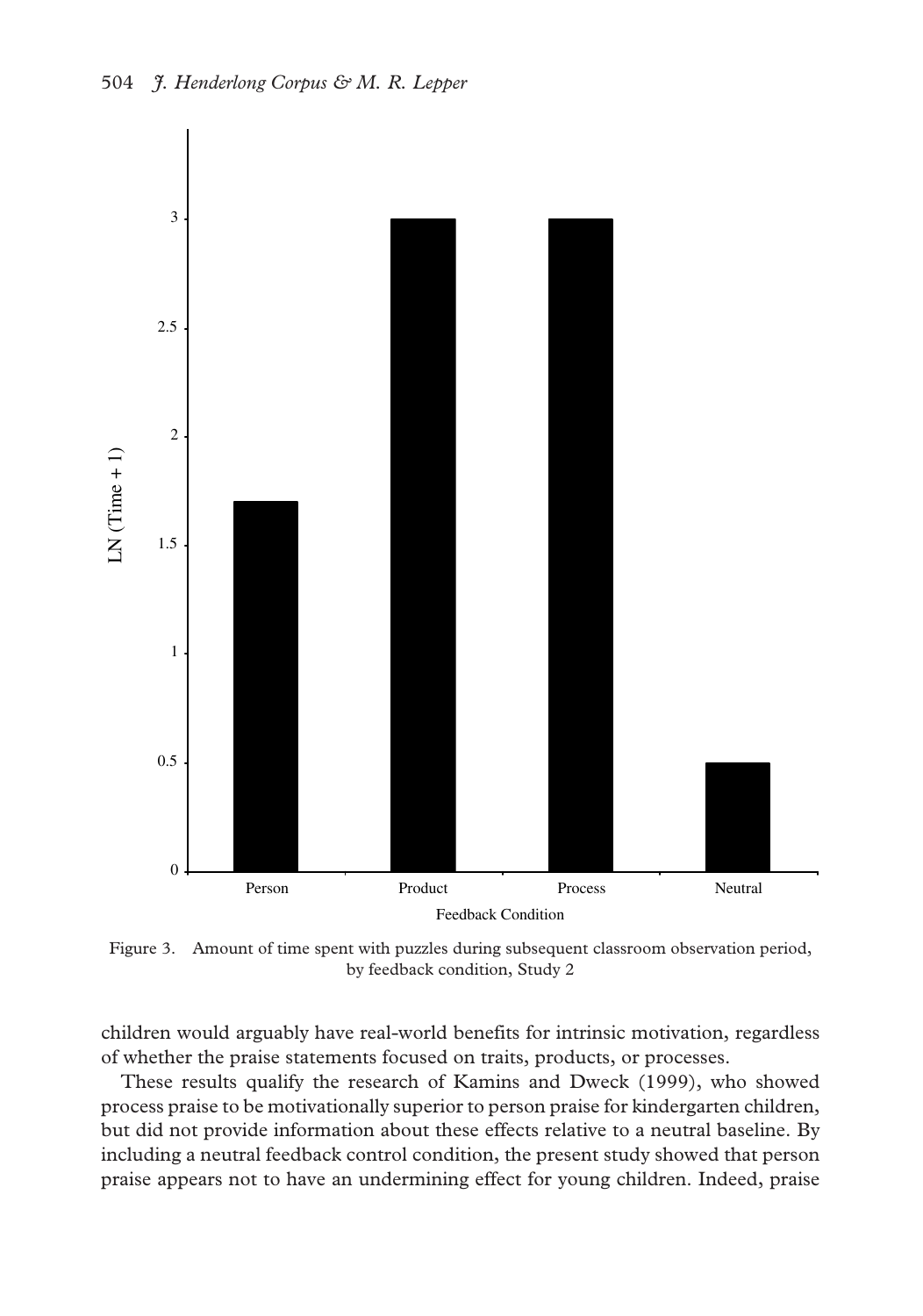

Figure 3. Amount of time spent with puzzles during subsequent classroom observation period, by feedback condition, Study 2

children would arguably have real-world benefits for intrinsic motivation, regardless of whether the praise statements focused on traits, products, or processes.

These results qualify the research of Kamins and Dweck (1999), who showed process praise to be motivationally superior to person praise for kindergarten children, but did not provide information about these effects relative to a neutral baseline. By including a neutral feedback control condition, the present study showed that person praise appears not to have an undermining effect for young children. Indeed, praise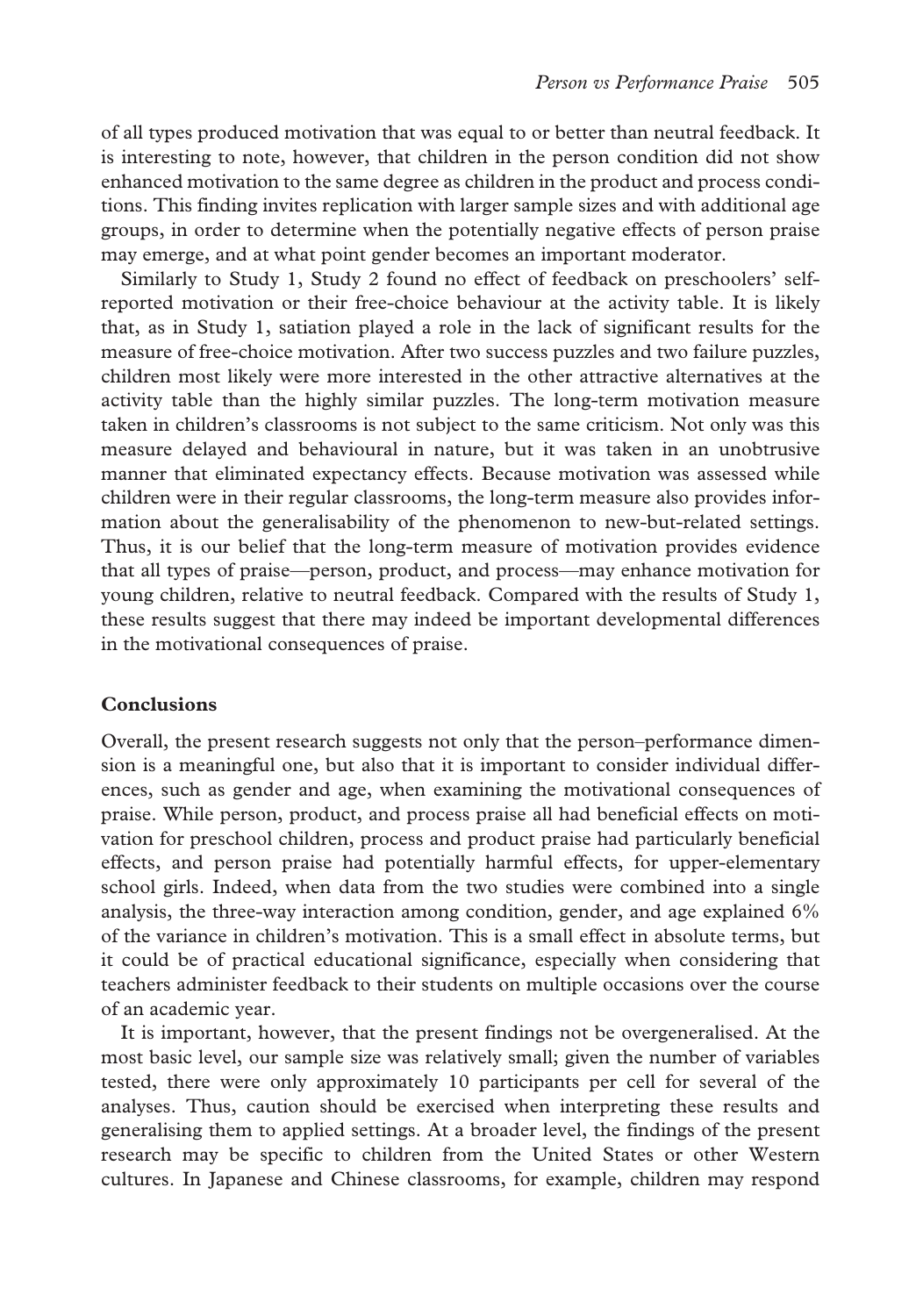of all types produced motivation that was equal to or better than neutral feedback. It is interesting to note, however, that children in the person condition did not show enhanced motivation to the same degree as children in the product and process conditions. This finding invites replication with larger sample sizes and with additional age groups, in order to determine when the potentially negative effects of person praise may emerge, and at what point gender becomes an important moderator.

Similarly to Study 1, Study 2 found no effect of feedback on preschoolers' selfreported motivation or their free-choice behaviour at the activity table. It is likely that, as in Study 1, satiation played a role in the lack of significant results for the measure of free-choice motivation. After two success puzzles and two failure puzzles, children most likely were more interested in the other attractive alternatives at the activity table than the highly similar puzzles. The long-term motivation measure taken in children's classrooms is not subject to the same criticism. Not only was this measure delayed and behavioural in nature, but it was taken in an unobtrusive manner that eliminated expectancy effects. Because motivation was assessed while children were in their regular classrooms, the long-term measure also provides information about the generalisability of the phenomenon to new-but-related settings. Thus, it is our belief that the long-term measure of motivation provides evidence that all types of praise—person, product, and process—may enhance motivation for young children, relative to neutral feedback. Compared with the results of Study 1, these results suggest that there may indeed be important developmental differences in the motivational consequences of praise.

### **Conclusions**

Overall, the present research suggests not only that the person–performance dimension is a meaningful one, but also that it is important to consider individual differences, such as gender and age, when examining the motivational consequences of praise. While person, product, and process praise all had beneficial effects on motivation for preschool children, process and product praise had particularly beneficial effects, and person praise had potentially harmful effects, for upper-elementary school girls. Indeed, when data from the two studies were combined into a single analysis, the three-way interaction among condition, gender, and age explained 6% of the variance in children's motivation. This is a small effect in absolute terms, but it could be of practical educational significance, especially when considering that teachers administer feedback to their students on multiple occasions over the course of an academic year.

It is important, however, that the present findings not be overgeneralised. At the most basic level, our sample size was relatively small; given the number of variables tested, there were only approximately 10 participants per cell for several of the analyses. Thus, caution should be exercised when interpreting these results and generalising them to applied settings. At a broader level, the findings of the present research may be specific to children from the United States or other Western cultures. In Japanese and Chinese classrooms, for example, children may respond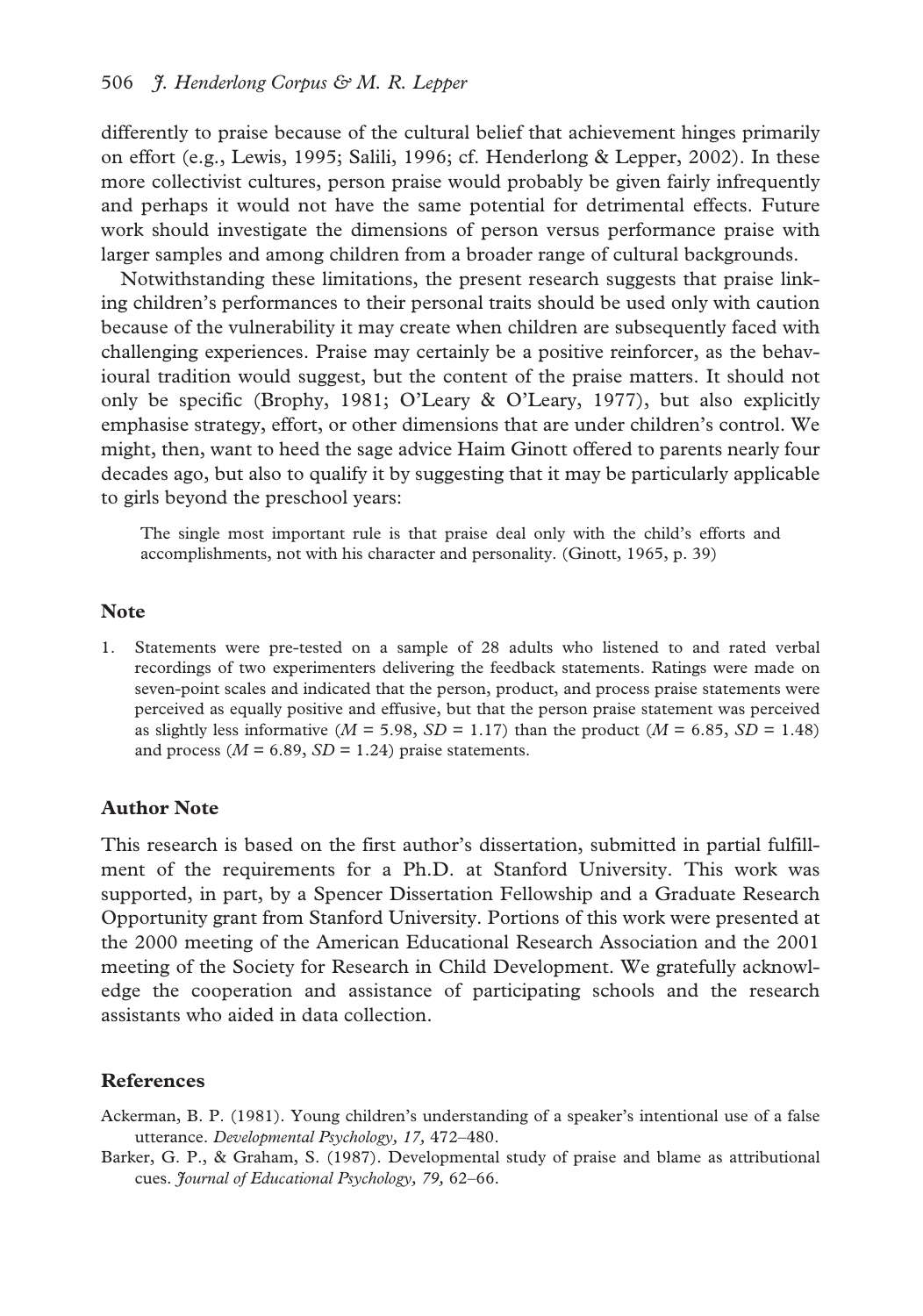differently to praise because of the cultural belief that achievement hinges primarily on effort (e.g., Lewis, 1995; Salili, 1996; cf. Henderlong & Lepper, 2002). In these more collectivist cultures, person praise would probably be given fairly infrequently and perhaps it would not have the same potential for detrimental effects. Future work should investigate the dimensions of person versus performance praise with larger samples and among children from a broader range of cultural backgrounds.

Notwithstanding these limitations, the present research suggests that praise linking children's performances to their personal traits should be used only with caution because of the vulnerability it may create when children are subsequently faced with challenging experiences. Praise may certainly be a positive reinforcer, as the behavioural tradition would suggest, but the content of the praise matters. It should not only be specific (Brophy, 1981; O'Leary & O'Leary, 1977), but also explicitly emphasise strategy, effort, or other dimensions that are under children's control. We might, then, want to heed the sage advice Haim Ginott offered to parents nearly four decades ago, but also to qualify it by suggesting that it may be particularly applicable to girls beyond the preschool years:

The single most important rule is that praise deal only with the child's efforts and accomplishments, not with his character and personality. (Ginott, 1965, p. 39)

## **Note**

1. Statements were pre-tested on a sample of 28 adults who listened to and rated verbal recordings of two experimenters delivering the feedback statements. Ratings were made on seven-point scales and indicated that the person, product, and process praise statements were perceived as equally positive and effusive, but that the person praise statement was perceived as slightly less informative ( $M = 5.98$ ,  $SD = 1.17$ ) than the product ( $M = 6.85$ ,  $SD = 1.48$ ) and process  $(M = 6.89, SD = 1.24)$  praise statements.

# **Author Note**

This research is based on the first author's dissertation, submitted in partial fulfillment of the requirements for a Ph.D. at Stanford University. This work was supported, in part, by a Spencer Dissertation Fellowship and a Graduate Research Opportunity grant from Stanford University. Portions of this work were presented at the 2000 meeting of the American Educational Research Association and the 2001 meeting of the Society for Research in Child Development. We gratefully acknowledge the cooperation and assistance of participating schools and the research assistants who aided in data collection.

#### **References**

Ackerman, B. P. (1981). Young children's understanding of a speaker's intentional use of a false utterance. *Developmental Psychology, 17,* 472–480.

Barker, G. P., & Graham, S. (1987). Developmental study of praise and blame as attributional cues. *Journal of Educational Psychology, 79,* 62–66.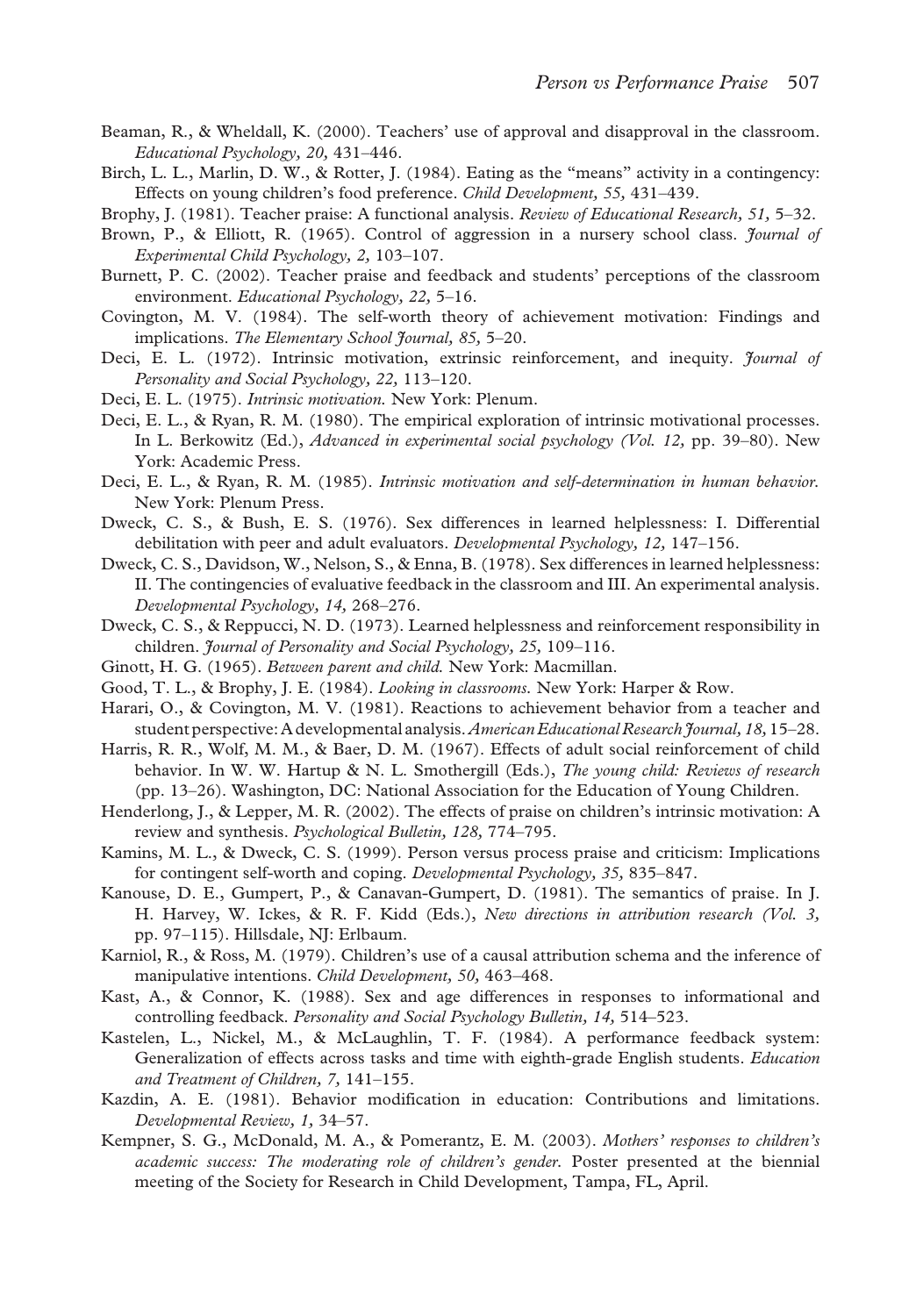- Beaman, R., & Wheldall, K. (2000). Teachers' use of approval and disapproval in the classroom. *Educational Psychology, 20,* 431–446.
- Birch, L. L., Marlin, D. W., & Rotter, J. (1984). Eating as the "means" activity in a contingency: Effects on young children's food preference. *Child Development, 55,* 431–439.
- Brophy, J. (1981). Teacher praise: A functional analysis. *Review of Educational Research, 51,* 5–32.
- Brown, P., & Elliott, R. (1965). Control of aggression in a nursery school class. *Journal of Experimental Child Psychology, 2,* 103–107.
- Burnett, P. C. (2002). Teacher praise and feedback and students' perceptions of the classroom environment. *Educational Psychology, 22,* 5–16.
- Covington, M. V. (1984). The self-worth theory of achievement motivation: Findings and implications. *The Elementary School Journal, 85,* 5–20.
- Deci, E. L. (1972). Intrinsic motivation, extrinsic reinforcement, and inequity. *Journal of Personality and Social Psychology, 22,* 113–120.
- Deci, E. L. (1975). *Intrinsic motivation.* New York: Plenum.
- Deci, E. L., & Ryan, R. M. (1980). The empirical exploration of intrinsic motivational processes. In L. Berkowitz (Ed.), *Advanced in experimental social psychology (Vol. 12,* pp. 39–80). New York: Academic Press.
- Deci, E. L., & Ryan, R. M. (1985). *Intrinsic motivation and self-determination in human behavior.* New York: Plenum Press.
- Dweck, C. S., & Bush, E. S. (1976). Sex differences in learned helplessness: I. Differential debilitation with peer and adult evaluators. *Developmental Psychology, 12,* 147–156.
- Dweck, C. S., Davidson, W., Nelson, S., & Enna, B. (1978). Sex differences in learned helplessness: II. The contingencies of evaluative feedback in the classroom and III. An experimental analysis. *Developmental Psychology, 14,* 268–276.
- Dweck, C. S., & Reppucci, N. D. (1973). Learned helplessness and reinforcement responsibility in children. *Journal of Personality and Social Psychology, 25,* 109–116.
- Ginott, H. G. (1965). *Between parent and child.* New York: Macmillan.
- Good, T. L., & Brophy, J. E. (1984). *Looking in classrooms.* New York: Harper & Row.
- Harari, O., & Covington, M. V. (1981). Reactions to achievement behavior from a teacher and student perspective: A developmental analysis.*American Educational Research Journal, 18,*15–28.
- Harris, R. R., Wolf, M. M., & Baer, D. M. (1967). Effects of adult social reinforcement of child behavior. In W. W. Hartup & N. L. Smothergill (Eds.), *The young child: Reviews of research* (pp. 13–26). Washington, DC: National Association for the Education of Young Children.
- Henderlong, J., & Lepper, M. R. (2002). The effects of praise on children's intrinsic motivation: A review and synthesis. *Psychological Bulletin, 128,* 774–795.
- Kamins, M. L., & Dweck, C. S. (1999). Person versus process praise and criticism: Implications for contingent self-worth and coping. *Developmental Psychology, 35,* 835–847.
- Kanouse, D. E., Gumpert, P., & Canavan-Gumpert, D. (1981). The semantics of praise. In J. H. Harvey, W. Ickes, & R. F. Kidd (Eds.), *New directions in attribution research (Vol. 3,* pp. 97–115). Hillsdale, NJ: Erlbaum.
- Karniol, R., & Ross, M. (1979). Children's use of a causal attribution schema and the inference of manipulative intentions. *Child Development, 50,* 463–468.
- Kast, A., & Connor, K. (1988). Sex and age differences in responses to informational and controlling feedback. *Personality and Social Psychology Bulletin, 14,* 514–523.
- Kastelen, L., Nickel, M., & McLaughlin, T. F. (1984). A performance feedback system: Generalization of effects across tasks and time with eighth-grade English students. *Education and Treatment of Children, 7,* 141–155.
- Kazdin, A. E. (1981). Behavior modification in education: Contributions and limitations. *Developmental Review, 1,* 34–57.
- Kempner, S. G., McDonald, M. A., & Pomerantz, E. M. (2003). *Mothers' responses to children's academic success: The moderating role of children's gender.* Poster presented at the biennial meeting of the Society for Research in Child Development, Tampa, FL, April.